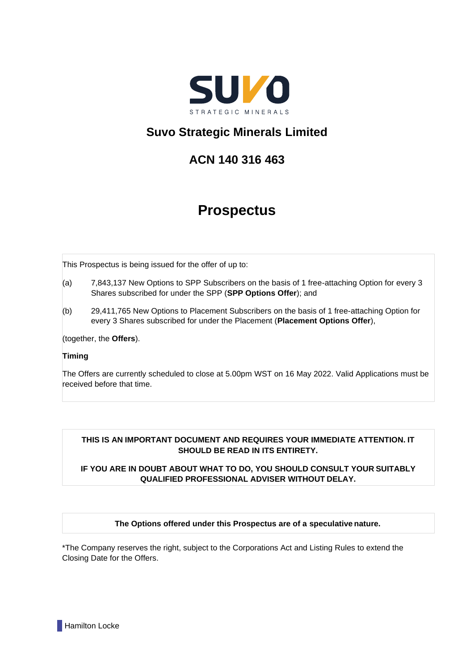

# **Suvo Strategic Minerals Limited**

# **ACN 140 316 463**

# **Prospectus**

This Prospectus is being issued for the offer of up to:

- (a) 7,843,137 New Options to SPP Subscribers on the basis of 1 free-attaching Option for every 3 Shares subscribed for under the SPP (**SPP Options Offer**); and
- (b) 29,411,765 New Options to Placement Subscribers on the basis of 1 free-attaching Option for every 3 Shares subscribed for under the Placement (**Placement Options Offer**),

(together, the **Offers**).

# **Timing**

The Offers are currently scheduled to close at 5.00pm WST on 16 May 2022. Valid Applications must be received before that time.

# **THIS IS AN IMPORTANT DOCUMENT AND REQUIRES YOUR IMMEDIATE ATTENTION. IT SHOULD BE READ IN ITS ENTIRETY.**

# **IF YOU ARE IN DOUBT ABOUT WHAT TO DO, YOU SHOULD CONSULT YOUR SUITABLY QUALIFIED PROFESSIONAL ADVISER WITHOUT DELAY.**

# **The Options offered under this Prospectus are of a speculative nature.**

\*The Company reserves the right, subject to the Corporations Act and Listing Rules to extend the Closing Date for the Offers.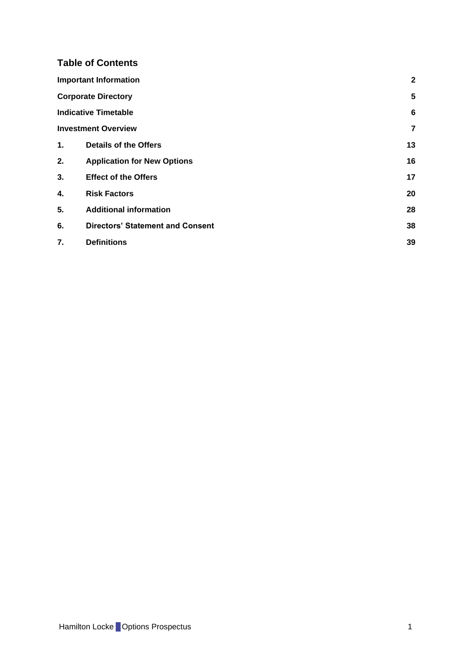# **Table of Contents**

|    | <b>Important Information</b>            | $\mathbf{2}$ |
|----|-----------------------------------------|--------------|
|    | <b>Corporate Directory</b>              | 5            |
|    | <b>Indicative Timetable</b>             | 6            |
|    | <b>Investment Overview</b>              | 7            |
| 1. | <b>Details of the Offers</b>            | 13           |
| 2. | <b>Application for New Options</b>      | 16           |
| 3. | <b>Effect of the Offers</b>             | 17           |
| 4. | <b>Risk Factors</b>                     | 20           |
| 5. | <b>Additional information</b>           | 28           |
| 6. | <b>Directors' Statement and Consent</b> | 38           |
| 7. | <b>Definitions</b>                      | 39           |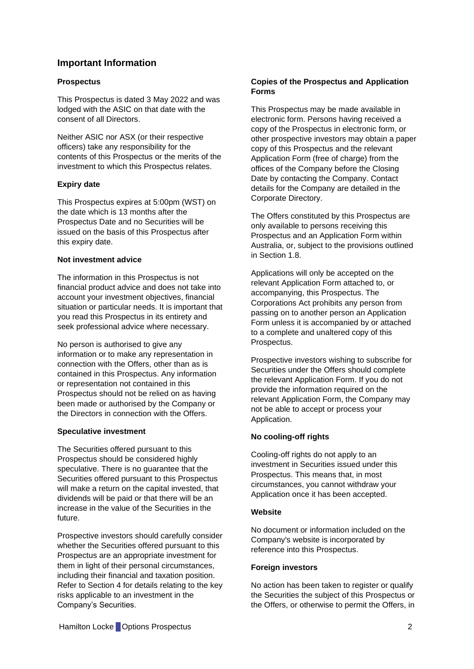# <span id="page-2-0"></span>**Important Information**

# **Prospectus**

This Prospectus is dated 3 May 2022 and was lodged with the ASIC on that date with the consent of all Directors.

Neither ASIC nor ASX (or their respective officers) take any responsibility for the contents of this Prospectus or the merits of the investment to which this Prospectus relates.

# **Expiry date**

This Prospectus expires at 5:00pm (WST) on the date which is 13 months after the Prospectus Date and no Securities will be issued on the basis of this Prospectus after this expiry date.

# **Not investment advice**

The information in this Prospectus is not financial product advice and does not take into account your investment objectives, financial situation or particular needs. It is important that you read this Prospectus in its entirety and seek professional advice where necessary.

No person is authorised to give any information or to make any representation in connection with the Offers, other than as is contained in this Prospectus. Any information or representation not contained in this Prospectus should not be relied on as having been made or authorised by the Company or the Directors in connection with the Offers.

# **Speculative investment**

The Securities offered pursuant to this Prospectus should be considered highly speculative. There is no guarantee that the Securities offered pursuant to this Prospectus will make a return on the capital invested, that dividends will be paid or that there will be an increase in the value of the Securities in the future.

Prospective investors should carefully consider whether the Securities offered pursuant to this Prospectus are an appropriate investment for them in light of their personal circumstances, including their financial and taxation position. Refer to Section [4](#page-20-0) for details relating to the key risks applicable to an investment in the Company's Securities.

# **Copies of the Prospectus and Application Forms**

This Prospectus may be made available in electronic form. Persons having received a copy of the Prospectus in electronic form, or other prospective investors may obtain a paper copy of this Prospectus and the relevant Application Form (free of charge) from the offices of the Company before the Closing Date by contacting the Company. Contact details for the Company are detailed in the Corporate Directory.

The Offers constituted by this Prospectus are only available to persons receiving this Prospectus and an Application Form within Australia, or, subject to the provisions outlined in Section [1.8.](#page-14-0)

Applications will only be accepted on the relevant Application Form attached to, or accompanying, this Prospectus. The Corporations Act prohibits any person from passing on to another person an Application Form unless it is accompanied by or attached to a complete and unaltered copy of this Prospectus.

Prospective investors wishing to subscribe for Securities under the Offers should complete the relevant Application Form. If you do not provide the information required on the relevant Application Form, the Company may not be able to accept or process your Application.

# **No cooling-off rights**

Cooling-off rights do not apply to an investment in Securities issued under this Prospectus. This means that, in most circumstances, you cannot withdraw your Application once it has been accepted.

# **Website**

No document or information included on the Company's website is incorporated by reference into this Prospectus.

# **Foreign investors**

No action has been taken to register or qualify the Securities the subject of this Prospectus or the Offers, or otherwise to permit the Offers, in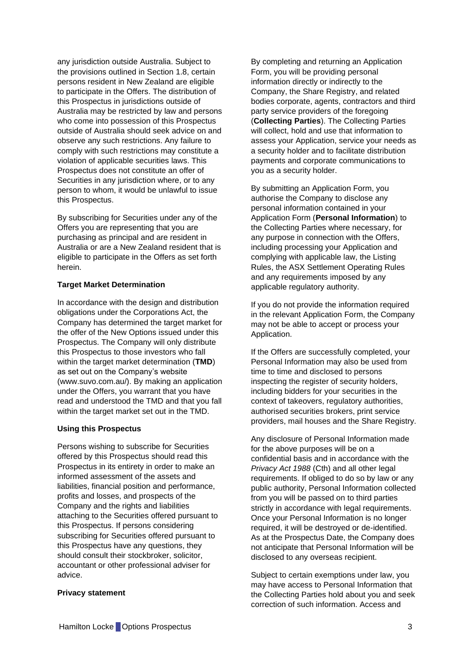any jurisdiction outside Australia. Subject to the provisions outlined in Section [1.8,](#page-14-0) certain persons resident in New Zealand are eligible to participate in the Offers. The distribution of this Prospectus in jurisdictions outside of Australia may be restricted by law and persons who come into possession of this Prospectus outside of Australia should seek advice on and observe any such restrictions. Any failure to comply with such restrictions may constitute a violation of applicable securities laws. This Prospectus does not constitute an offer of Securities in any jurisdiction where, or to any person to whom, it would be unlawful to issue this Prospectus.

By subscribing for Securities under any of the Offers you are representing that you are purchasing as principal and are resident in Australia or are a New Zealand resident that is eligible to participate in the Offers as set forth herein.

#### **Target Market Determination**

In accordance with the design and distribution obligations under the Corporations Act, the Company has determined the target market for the offer of the New Options issued under this Prospectus. The Company will only distribute this Prospectus to those investors who fall within the target market determination (**TMD**) as set out on the Company's website (www.suvo.com.au/). By making an application under the Offers, you warrant that you have read and understood the TMD and that you fall within the target market set out in the TMD.

#### **Using this Prospectus**

Persons wishing to subscribe for Securities offered by this Prospectus should read this Prospectus in its entirety in order to make an informed assessment of the assets and liabilities, financial position and performance, profits and losses, and prospects of the Company and the rights and liabilities attaching to the Securities offered pursuant to this Prospectus. If persons considering subscribing for Securities offered pursuant to this Prospectus have any questions, they should consult their stockbroker, solicitor, accountant or other professional adviser for advice.

#### **Privacy statement**

By completing and returning an Application Form, you will be providing personal information directly or indirectly to the Company, the Share Registry, and related bodies corporate, agents, contractors and third party service providers of the foregoing (**Collecting Parties**). The Collecting Parties will collect, hold and use that information to assess your Application, service your needs as a security holder and to facilitate distribution payments and corporate communications to you as a security holder.

By submitting an Application Form, you authorise the Company to disclose any personal information contained in your Application Form (**Personal Information**) to the Collecting Parties where necessary, for any purpose in connection with the Offers, including processing your Application and complying with applicable law, the Listing Rules, the ASX Settlement Operating Rules and any requirements imposed by any applicable regulatory authority.

If you do not provide the information required in the relevant Application Form, the Company may not be able to accept or process your Application.

If the Offers are successfully completed, your Personal Information may also be used from time to time and disclosed to persons inspecting the register of security holders, including bidders for your securities in the context of takeovers, regulatory authorities, authorised securities brokers, print service providers, mail houses and the Share Registry.

Any disclosure of Personal Information made for the above purposes will be on a confidential basis and in accordance with the *Privacy Act 1988* (Cth) and all other legal requirements. If obliged to do so by law or any public authority, Personal Information collected from you will be passed on to third parties strictly in accordance with legal requirements. Once your Personal Information is no longer required, it will be destroyed or de-identified. As at the Prospectus Date, the Company does not anticipate that Personal Information will be disclosed to any overseas recipient.

Subject to certain exemptions under law, you may have access to Personal Information that the Collecting Parties hold about you and seek correction of such information. Access and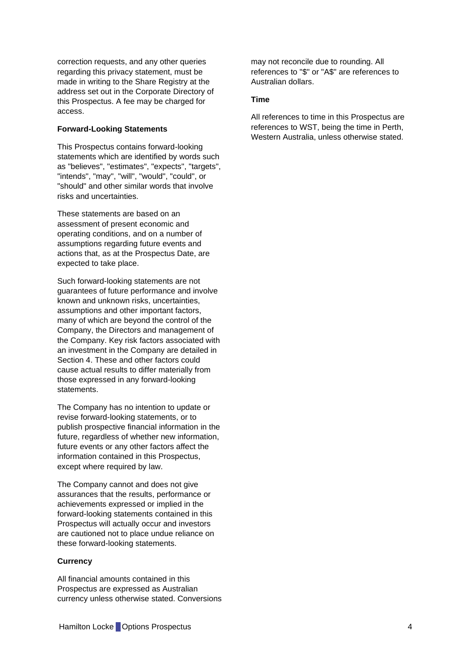correction requests, and any other queries regarding this privacy statement, must be made in writing to the Share Registry at the address set out in the Corporate Directory of this Prospectus. A fee may be charged for access.

#### **Forward-Looking Statements**

This Prospectus contains forward-looking statements which are identified by words such as "believes", "estimates", "expects", "targets", "intends", "may", "will", "would", "could", or "should" and other similar words that involve risks and uncertainties.

These statements are based on an assessment of present economic and operating conditions, and on a number of assumptions regarding future events and actions that, as at the Prospectus Date, are expected to take place.

Such forward-looking statements are not guarantees of future performance and involve known and unknown risks, uncertainties, assumptions and other important factors, many of which are beyond the control of the Company, the Directors and management of the Company. Key risk factors associated with an investment in the Company are detailed in Section [4.](#page-20-0) These and other factors could cause actual results to differ materially from those expressed in any forward-looking statements.

The Company has no intention to update or revise forward-looking statements, or to publish prospective financial information in the future, regardless of whether new information, future events or any other factors affect the information contained in this Prospectus, except where required by law.

The Company cannot and does not give assurances that the results, performance or achievements expressed or implied in the forward-looking statements contained in this Prospectus will actually occur and investors are cautioned not to place undue reliance on these forward-looking statements.

#### **Currency**

All financial amounts contained in this Prospectus are expressed as Australian currency unless otherwise stated. Conversions may not reconcile due to rounding. All references to "\$" or "A\$" are references to Australian dollars.

#### **Time**

All references to time in this Prospectus are references to WST, being the time in Perth, Western Australia, unless otherwise stated.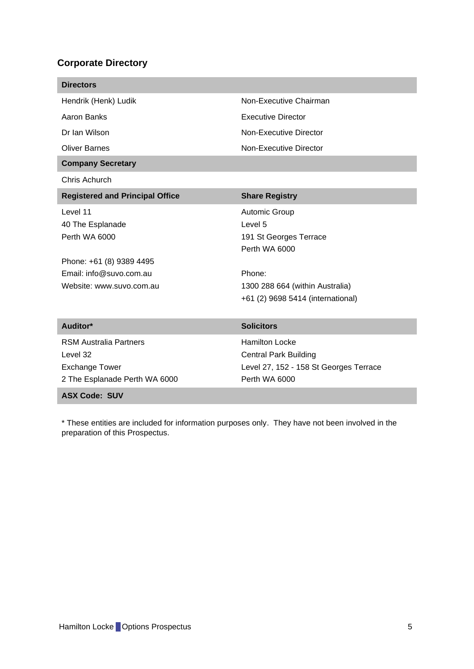# <span id="page-5-0"></span>**Corporate Directory**

| <b>Directors</b>                                                                                                                 |                                                                                                                                                       |
|----------------------------------------------------------------------------------------------------------------------------------|-------------------------------------------------------------------------------------------------------------------------------------------------------|
| Hendrik (Henk) Ludik                                                                                                             | Non-Executive Chairman                                                                                                                                |
| Aaron Banks                                                                                                                      | <b>Executive Director</b>                                                                                                                             |
| Dr Ian Wilson                                                                                                                    | Non-Executive Director                                                                                                                                |
| <b>Oliver Barnes</b>                                                                                                             | Non-Executive Director                                                                                                                                |
| <b>Company Secretary</b>                                                                                                         |                                                                                                                                                       |
| Chris Achurch                                                                                                                    |                                                                                                                                                       |
| <b>Registered and Principal Office</b>                                                                                           | <b>Share Registry</b>                                                                                                                                 |
| Level 11<br>40 The Esplanade<br>Perth WA 6000<br>Phone: +61 (8) 9389 4495<br>Email: info@suvo.com.au<br>Website: www.suvo.com.au | Automic Group<br>Level 5<br>191 St Georges Terrace<br>Perth WA 6000<br>Phone:<br>1300 288 664 (within Australia)<br>+61 (2) 9698 5414 (international) |
| Auditor*                                                                                                                         | <b>Solicitors</b>                                                                                                                                     |
| <b>RSM Australia Partners</b><br>Level 32<br><b>Exchange Tower</b><br>2 The Esplanade Perth WA 6000                              | <b>Hamilton Locke</b><br><b>Central Park Building</b><br>Level 27, 152 - 158 St Georges Terrace<br>Perth WA 6000                                      |
| <b>ASX Code: SUV</b>                                                                                                             |                                                                                                                                                       |

\* These entities are included for information purposes only. They have not been involved in the preparation of this Prospectus.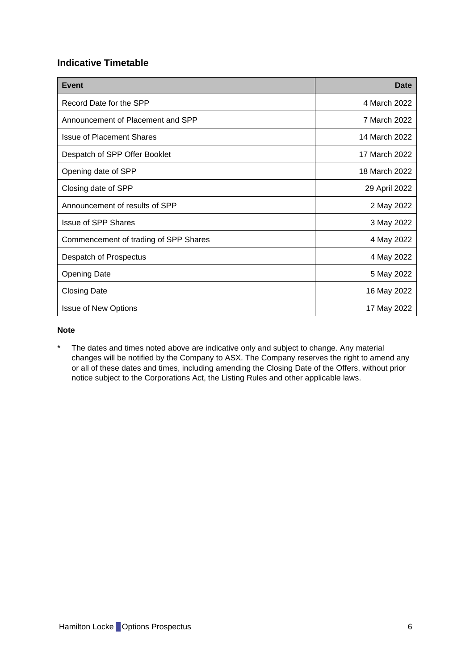# <span id="page-6-0"></span>**Indicative Timetable**

| <b>Event</b>                          | Date          |
|---------------------------------------|---------------|
| Record Date for the SPP               | 4 March 2022  |
| Announcement of Placement and SPP     | 7 March 2022  |
| <b>Issue of Placement Shares</b>      | 14 March 2022 |
| Despatch of SPP Offer Booklet         | 17 March 2022 |
| Opening date of SPP                   | 18 March 2022 |
| Closing date of SPP                   | 29 April 2022 |
| Announcement of results of SPP        | 2 May 2022    |
| <b>Issue of SPP Shares</b>            | 3 May 2022    |
| Commencement of trading of SPP Shares | 4 May 2022    |
| Despatch of Prospectus                | 4 May 2022    |
| <b>Opening Date</b>                   | 5 May 2022    |
| <b>Closing Date</b>                   | 16 May 2022   |
| <b>Issue of New Options</b>           | 17 May 2022   |

## **Note**

\* The dates and times noted above are indicative only and subject to change. Any material changes will be notified by the Company to ASX. The Company reserves the right to amend any or all of these dates and times, including amending the Closing Date of the Offers, without prior notice subject to the Corporations Act, the Listing Rules and other applicable laws.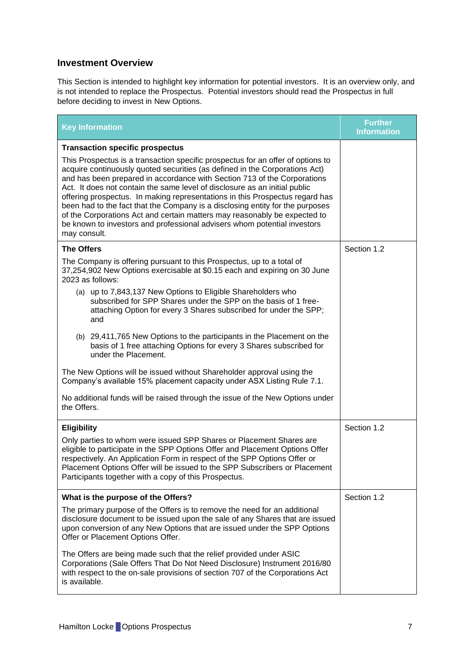# <span id="page-7-0"></span>**Investment Overview**

This Section is intended to highlight key information for potential investors. It is an overview only, and is not intended to replace the Prospectus. Potential investors should read the Prospectus in full before deciding to invest in New Options.

| <b>Key Information</b>                                                                                                                                                                                                                                                                                                                                                                                                                                                                                                                                                                                                                                             | <b>Further</b><br><b>Information</b> |
|--------------------------------------------------------------------------------------------------------------------------------------------------------------------------------------------------------------------------------------------------------------------------------------------------------------------------------------------------------------------------------------------------------------------------------------------------------------------------------------------------------------------------------------------------------------------------------------------------------------------------------------------------------------------|--------------------------------------|
| <b>Transaction specific prospectus</b>                                                                                                                                                                                                                                                                                                                                                                                                                                                                                                                                                                                                                             |                                      |
| This Prospectus is a transaction specific prospectus for an offer of options to<br>acquire continuously quoted securities (as defined in the Corporations Act)<br>and has been prepared in accordance with Section 713 of the Corporations<br>Act. It does not contain the same level of disclosure as an initial public<br>offering prospectus. In making representations in this Prospectus regard has<br>been had to the fact that the Company is a disclosing entity for the purposes<br>of the Corporations Act and certain matters may reasonably be expected to<br>be known to investors and professional advisers whom potential investors<br>may consult. |                                      |
| <b>The Offers</b>                                                                                                                                                                                                                                                                                                                                                                                                                                                                                                                                                                                                                                                  | Section 1.2                          |
| The Company is offering pursuant to this Prospectus, up to a total of<br>37,254,902 New Options exercisable at \$0.15 each and expiring on 30 June<br>2023 as follows:                                                                                                                                                                                                                                                                                                                                                                                                                                                                                             |                                      |
| (a) up to 7,843,137 New Options to Eligible Shareholders who<br>subscribed for SPP Shares under the SPP on the basis of 1 free-<br>attaching Option for every 3 Shares subscribed for under the SPP;<br>and                                                                                                                                                                                                                                                                                                                                                                                                                                                        |                                      |
| (b) 29,411,765 New Options to the participants in the Placement on the<br>basis of 1 free attaching Options for every 3 Shares subscribed for<br>under the Placement.                                                                                                                                                                                                                                                                                                                                                                                                                                                                                              |                                      |
| The New Options will be issued without Shareholder approval using the<br>Company's available 15% placement capacity under ASX Listing Rule 7.1.                                                                                                                                                                                                                                                                                                                                                                                                                                                                                                                    |                                      |
| No additional funds will be raised through the issue of the New Options under<br>the Offers.                                                                                                                                                                                                                                                                                                                                                                                                                                                                                                                                                                       |                                      |
| <b>Eligibility</b>                                                                                                                                                                                                                                                                                                                                                                                                                                                                                                                                                                                                                                                 | Section 1.2                          |
| Only parties to whom were issued SPP Shares or Placement Shares are<br>eligible to participate in the SPP Options Offer and Placement Options Offer<br>respectively. An Application Form in respect of the SPP Options Offer or<br>Placement Options Offer will be issued to the SPP Subscribers or Placement<br>Participants together with a copy of this Prospectus.                                                                                                                                                                                                                                                                                             |                                      |
| What is the purpose of the Offers?                                                                                                                                                                                                                                                                                                                                                                                                                                                                                                                                                                                                                                 | Section 1.2                          |
| The primary purpose of the Offers is to remove the need for an additional<br>disclosure document to be issued upon the sale of any Shares that are issued<br>upon conversion of any New Options that are issued under the SPP Options<br>Offer or Placement Options Offer.                                                                                                                                                                                                                                                                                                                                                                                         |                                      |
| The Offers are being made such that the relief provided under ASIC<br>Corporations (Sale Offers That Do Not Need Disclosure) Instrument 2016/80<br>with respect to the on-sale provisions of section 707 of the Corporations Act<br>is available.                                                                                                                                                                                                                                                                                                                                                                                                                  |                                      |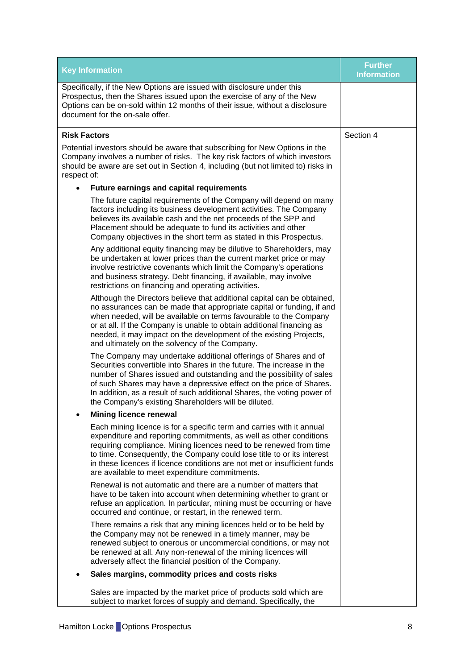| <b>Key Information</b>                                                                                                                                                                                                                                                                                                                                                                                                     | <b>Further</b><br><b>Information</b> |
|----------------------------------------------------------------------------------------------------------------------------------------------------------------------------------------------------------------------------------------------------------------------------------------------------------------------------------------------------------------------------------------------------------------------------|--------------------------------------|
| Specifically, if the New Options are issued with disclosure under this<br>Prospectus, then the Shares issued upon the exercise of any of the New<br>Options can be on-sold within 12 months of their issue, without a disclosure<br>document for the on-sale offer.                                                                                                                                                        |                                      |
| <b>Risk Factors</b>                                                                                                                                                                                                                                                                                                                                                                                                        | Section 4                            |
| Potential investors should be aware that subscribing for New Options in the<br>Company involves a number of risks. The key risk factors of which investors<br>should be aware are set out in Section 4, including (but not limited to) risks in<br>respect of:                                                                                                                                                             |                                      |
| Future earnings and capital requirements                                                                                                                                                                                                                                                                                                                                                                                   |                                      |
| The future capital requirements of the Company will depend on many<br>factors including its business development activities. The Company<br>believes its available cash and the net proceeds of the SPP and<br>Placement should be adequate to fund its activities and other<br>Company objectives in the short term as stated in this Prospectus.                                                                         |                                      |
| Any additional equity financing may be dilutive to Shareholders, may<br>be undertaken at lower prices than the current market price or may<br>involve restrictive covenants which limit the Company's operations<br>and business strategy. Debt financing, if available, may involve<br>restrictions on financing and operating activities.                                                                                |                                      |
| Although the Directors believe that additional capital can be obtained,<br>no assurances can be made that appropriate capital or funding, if and<br>when needed, will be available on terms favourable to the Company<br>or at all. If the Company is unable to obtain additional financing as<br>needed, it may impact on the development of the existing Projects,<br>and ultimately on the solvency of the Company.     |                                      |
| The Company may undertake additional offerings of Shares and of<br>Securities convertible into Shares in the future. The increase in the<br>number of Shares issued and outstanding and the possibility of sales<br>of such Shares may have a depressive effect on the price of Shares.<br>In addition, as a result of such additional Shares, the voting power of<br>the Company's existing Shareholders will be diluted. |                                      |
| <b>Mining licence renewal</b>                                                                                                                                                                                                                                                                                                                                                                                              |                                      |
| Each mining licence is for a specific term and carries with it annual<br>expenditure and reporting commitments, as well as other conditions<br>requiring compliance. Mining licences need to be renewed from time<br>to time. Consequently, the Company could lose title to or its interest<br>in these licences if licence conditions are not met or insufficient funds<br>are available to meet expenditure commitments. |                                      |
| Renewal is not automatic and there are a number of matters that<br>have to be taken into account when determining whether to grant or<br>refuse an application. In particular, mining must be occurring or have<br>occurred and continue, or restart, in the renewed term.                                                                                                                                                 |                                      |
| There remains a risk that any mining licences held or to be held by<br>the Company may not be renewed in a timely manner, may be<br>renewed subject to onerous or uncommercial conditions, or may not<br>be renewed at all. Any non-renewal of the mining licences will<br>adversely affect the financial position of the Company.                                                                                         |                                      |
| Sales margins, commodity prices and costs risks                                                                                                                                                                                                                                                                                                                                                                            |                                      |
| Sales are impacted by the market price of products sold which are<br>subject to market forces of supply and demand. Specifically, the                                                                                                                                                                                                                                                                                      |                                      |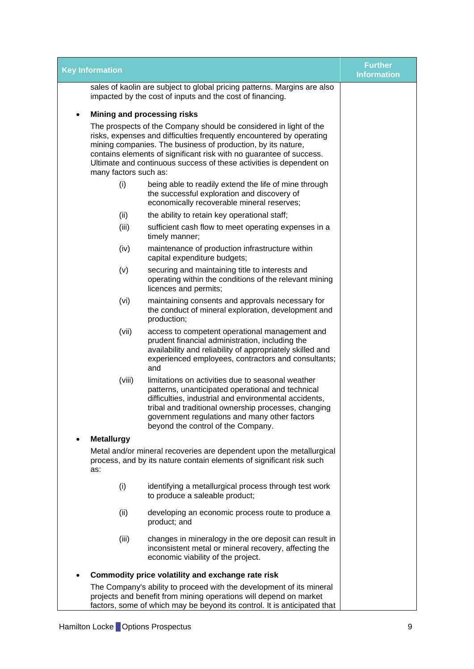| <b>Key Information</b>                            |                                                                                                                                                                                                                                                                                                                                                                                  | <b>Further</b><br><b>Information</b> |  |  |  |
|---------------------------------------------------|----------------------------------------------------------------------------------------------------------------------------------------------------------------------------------------------------------------------------------------------------------------------------------------------------------------------------------------------------------------------------------|--------------------------------------|--|--|--|
|                                                   | sales of kaolin are subject to global pricing patterns. Margins are also<br>impacted by the cost of inputs and the cost of financing.                                                                                                                                                                                                                                            |                                      |  |  |  |
| $\bullet$                                         | Mining and processing risks                                                                                                                                                                                                                                                                                                                                                      |                                      |  |  |  |
|                                                   | The prospects of the Company should be considered in light of the<br>risks, expenses and difficulties frequently encountered by operating<br>mining companies. The business of production, by its nature,<br>contains elements of significant risk with no guarantee of success.<br>Ultimate and continuous success of these activities is dependent on<br>many factors such as: |                                      |  |  |  |
| (i)                                               | being able to readily extend the life of mine through<br>the successful exploration and discovery of<br>economically recoverable mineral reserves;                                                                                                                                                                                                                               |                                      |  |  |  |
| (ii)                                              | the ability to retain key operational staff;                                                                                                                                                                                                                                                                                                                                     |                                      |  |  |  |
| (iii)                                             | sufficient cash flow to meet operating expenses in a<br>timely manner;                                                                                                                                                                                                                                                                                                           |                                      |  |  |  |
| (iv)                                              | maintenance of production infrastructure within<br>capital expenditure budgets;                                                                                                                                                                                                                                                                                                  |                                      |  |  |  |
| (v)                                               | securing and maintaining title to interests and<br>operating within the conditions of the relevant mining<br>licences and permits;                                                                                                                                                                                                                                               |                                      |  |  |  |
| (vi)                                              | maintaining consents and approvals necessary for<br>the conduct of mineral exploration, development and<br>production;                                                                                                                                                                                                                                                           |                                      |  |  |  |
| (vii)                                             | access to competent operational management and<br>prudent financial administration, including the<br>availability and reliability of appropriately skilled and<br>experienced employees, contractors and consultants;<br>and                                                                                                                                                     |                                      |  |  |  |
| (viii)                                            | limitations on activities due to seasonal weather<br>patterns, unanticipated operational and technical<br>difficulties, industrial and environmental accidents,<br>tribal and traditional ownership processes, changing<br>government regulations and many other factors<br>beyond the control of the Company.                                                                   |                                      |  |  |  |
| <b>Metallurgy</b>                                 |                                                                                                                                                                                                                                                                                                                                                                                  |                                      |  |  |  |
| as:                                               | Metal and/or mineral recoveries are dependent upon the metallurgical<br>process, and by its nature contain elements of significant risk such                                                                                                                                                                                                                                     |                                      |  |  |  |
| (i)                                               | identifying a metallurgical process through test work<br>to produce a saleable product;                                                                                                                                                                                                                                                                                          |                                      |  |  |  |
| (ii)                                              | developing an economic process route to produce a<br>product; and                                                                                                                                                                                                                                                                                                                |                                      |  |  |  |
| (iii)                                             | changes in mineralogy in the ore deposit can result in<br>inconsistent metal or mineral recovery, affecting the<br>economic viability of the project.                                                                                                                                                                                                                            |                                      |  |  |  |
| Commodity price volatility and exchange rate risk |                                                                                                                                                                                                                                                                                                                                                                                  |                                      |  |  |  |
|                                                   | The Company's ability to proceed with the development of its mineral<br>projects and benefit from mining operations will depend on market<br>factors, some of which may be beyond its control. It is anticipated that                                                                                                                                                            |                                      |  |  |  |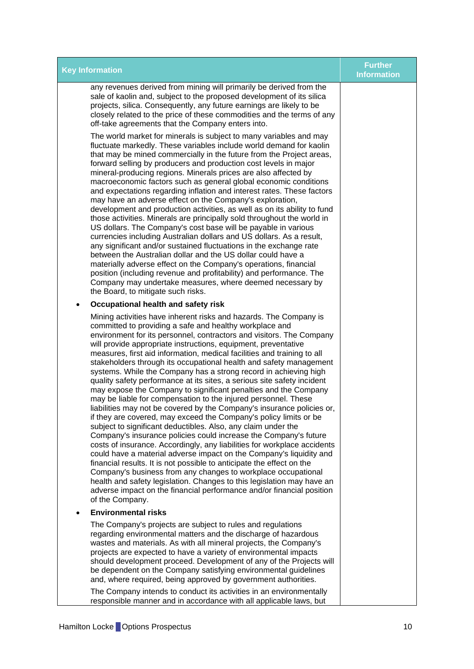| <b>Key Information</b>                                                                                                                                                                                                                                                                                                                                                                                                                                                                                                                                                                                                                                                                                                                                                                                                                                                                                                                                                                                                                                                                                                                                                                                                                                                                                                                                                                                                                                             | <b>Further</b><br><b>Information</b> |
|--------------------------------------------------------------------------------------------------------------------------------------------------------------------------------------------------------------------------------------------------------------------------------------------------------------------------------------------------------------------------------------------------------------------------------------------------------------------------------------------------------------------------------------------------------------------------------------------------------------------------------------------------------------------------------------------------------------------------------------------------------------------------------------------------------------------------------------------------------------------------------------------------------------------------------------------------------------------------------------------------------------------------------------------------------------------------------------------------------------------------------------------------------------------------------------------------------------------------------------------------------------------------------------------------------------------------------------------------------------------------------------------------------------------------------------------------------------------|--------------------------------------|
| any revenues derived from mining will primarily be derived from the<br>sale of kaolin and, subject to the proposed development of its silica<br>projects, silica. Consequently, any future earnings are likely to be<br>closely related to the price of these commodities and the terms of any<br>off-take agreements that the Company enters into.                                                                                                                                                                                                                                                                                                                                                                                                                                                                                                                                                                                                                                                                                                                                                                                                                                                                                                                                                                                                                                                                                                                |                                      |
| The world market for minerals is subject to many variables and may<br>fluctuate markedly. These variables include world demand for kaolin<br>that may be mined commercially in the future from the Project areas,<br>forward selling by producers and production cost levels in major<br>mineral-producing regions. Minerals prices are also affected by<br>macroeconomic factors such as general global economic conditions<br>and expectations regarding inflation and interest rates. These factors<br>may have an adverse effect on the Company's exploration,<br>development and production activities, as well as on its ability to fund<br>those activities. Minerals are principally sold throughout the world in<br>US dollars. The Company's cost base will be payable in various<br>currencies including Australian dollars and US dollars. As a result,<br>any significant and/or sustained fluctuations in the exchange rate<br>between the Australian dollar and the US dollar could have a<br>materially adverse effect on the Company's operations, financial<br>position (including revenue and profitability) and performance. The<br>Company may undertake measures, where deemed necessary by<br>the Board, to mitigate such risks.                                                                                                                                                                                                            |                                      |
| Occupational health and safety risk                                                                                                                                                                                                                                                                                                                                                                                                                                                                                                                                                                                                                                                                                                                                                                                                                                                                                                                                                                                                                                                                                                                                                                                                                                                                                                                                                                                                                                |                                      |
| Mining activities have inherent risks and hazards. The Company is<br>committed to providing a safe and healthy workplace and<br>environment for its personnel, contractors and visitors. The Company<br>will provide appropriate instructions, equipment, preventative<br>measures, first aid information, medical facilities and training to all<br>stakeholders through its occupational health and safety management<br>systems. While the Company has a strong record in achieving high<br>quality safety performance at its sites, a serious site safety incident<br>may expose the Company to significant penalties and the Company<br>may be liable for compensation to the injured personnel. These<br>liabilities may not be covered by the Company's insurance policies or,<br>if they are covered, may exceed the Company's policy limits or be<br>subject to significant deductibles. Also, any claim under the<br>Company's insurance policies could increase the Company's future<br>costs of insurance. Accordingly, any liabilities for workplace accidents<br>could have a material adverse impact on the Company's liquidity and<br>financial results. It is not possible to anticipate the effect on the<br>Company's business from any changes to workplace occupational<br>health and safety legislation. Changes to this legislation may have an<br>adverse impact on the financial performance and/or financial position<br>of the Company. |                                      |
| <b>Environmental risks</b>                                                                                                                                                                                                                                                                                                                                                                                                                                                                                                                                                                                                                                                                                                                                                                                                                                                                                                                                                                                                                                                                                                                                                                                                                                                                                                                                                                                                                                         |                                      |
| The Company's projects are subject to rules and regulations<br>regarding environmental matters and the discharge of hazardous<br>wastes and materials. As with all mineral projects, the Company's<br>projects are expected to have a variety of environmental impacts<br>should development proceed. Development of any of the Projects will<br>be dependent on the Company satisfying environmental guidelines<br>and, where required, being approved by government authorities.                                                                                                                                                                                                                                                                                                                                                                                                                                                                                                                                                                                                                                                                                                                                                                                                                                                                                                                                                                                 |                                      |
| The Company intends to conduct its activities in an environmentally<br>responsible manner and in accordance with all applicable laws, but                                                                                                                                                                                                                                                                                                                                                                                                                                                                                                                                                                                                                                                                                                                                                                                                                                                                                                                                                                                                                                                                                                                                                                                                                                                                                                                          |                                      |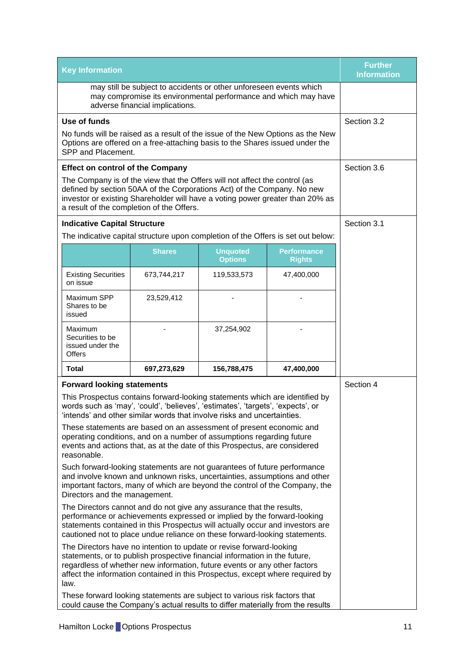| <b>Key Information</b>                                                                                                                                                                                                                                                                                                  |                                                                                                                                                                                                                                                                                     |                                   |                                                                                  | <b>Further</b><br><b>Information</b> |
|-------------------------------------------------------------------------------------------------------------------------------------------------------------------------------------------------------------------------------------------------------------------------------------------------------------------------|-------------------------------------------------------------------------------------------------------------------------------------------------------------------------------------------------------------------------------------------------------------------------------------|-----------------------------------|----------------------------------------------------------------------------------|--------------------------------------|
| may still be subject to accidents or other unforeseen events which<br>may compromise its environmental performance and which may have<br>adverse financial implications.                                                                                                                                                |                                                                                                                                                                                                                                                                                     |                                   |                                                                                  |                                      |
| Use of funds                                                                                                                                                                                                                                                                                                            |                                                                                                                                                                                                                                                                                     |                                   |                                                                                  | Section 3.2                          |
| SPP and Placement.                                                                                                                                                                                                                                                                                                      | Options are offered on a free-attaching basis to the Shares issued under the                                                                                                                                                                                                        |                                   | No funds will be raised as a result of the issue of the New Options as the New   |                                      |
| <b>Effect on control of the Company</b>                                                                                                                                                                                                                                                                                 |                                                                                                                                                                                                                                                                                     |                                   |                                                                                  | Section 3.6                          |
|                                                                                                                                                                                                                                                                                                                         | The Company is of the view that the Offers will not affect the control (as<br>defined by section 50AA of the Corporations Act) of the Company. No new<br>investor or existing Shareholder will have a voting power greater than 20% as<br>a result of the completion of the Offers. |                                   |                                                                                  |                                      |
| <b>Indicative Capital Structure</b>                                                                                                                                                                                                                                                                                     |                                                                                                                                                                                                                                                                                     |                                   |                                                                                  | Section 3.1                          |
|                                                                                                                                                                                                                                                                                                                         |                                                                                                                                                                                                                                                                                     |                                   | The indicative capital structure upon completion of the Offers is set out below: |                                      |
|                                                                                                                                                                                                                                                                                                                         | <b>Shares</b>                                                                                                                                                                                                                                                                       | <b>Unquoted</b><br><b>Options</b> | <b>Performance</b><br><b>Rights</b>                                              |                                      |
| <b>Existing Securities</b><br>on issue                                                                                                                                                                                                                                                                                  | 673,744,217                                                                                                                                                                                                                                                                         | 119,533,573                       | 47,400,000                                                                       |                                      |
| Maximum SPP<br>Shares to be<br>issued                                                                                                                                                                                                                                                                                   | 23,529,412                                                                                                                                                                                                                                                                          |                                   |                                                                                  |                                      |
| Maximum<br>Securities to be<br>issued under the<br>Offers                                                                                                                                                                                                                                                               |                                                                                                                                                                                                                                                                                     | 37,254,902                        |                                                                                  |                                      |
| <b>Total</b>                                                                                                                                                                                                                                                                                                            | 697,273,629                                                                                                                                                                                                                                                                         | 156,788,475                       | 47,400,000                                                                       |                                      |
| <b>Forward looking statements</b>                                                                                                                                                                                                                                                                                       |                                                                                                                                                                                                                                                                                     |                                   |                                                                                  | Section 4                            |
| This Prospectus contains forward-looking statements which are identified by<br>words such as 'may', 'could', 'believes', 'estimates', 'targets', 'expects', or<br>'intends' and other similar words that involve risks and uncertainties.                                                                               |                                                                                                                                                                                                                                                                                     |                                   |                                                                                  |                                      |
| These statements are based on an assessment of present economic and<br>operating conditions, and on a number of assumptions regarding future<br>events and actions that, as at the date of this Prospectus, are considered<br>reasonable.                                                                               |                                                                                                                                                                                                                                                                                     |                                   |                                                                                  |                                      |
| Such forward-looking statements are not guarantees of future performance<br>and involve known and unknown risks, uncertainties, assumptions and other<br>important factors, many of which are beyond the control of the Company, the<br>Directors and the management.                                                   |                                                                                                                                                                                                                                                                                     |                                   |                                                                                  |                                      |
| The Directors cannot and do not give any assurance that the results,<br>performance or achievements expressed or implied by the forward-looking<br>statements contained in this Prospectus will actually occur and investors are<br>cautioned not to place undue reliance on these forward-looking statements.          |                                                                                                                                                                                                                                                                                     |                                   |                                                                                  |                                      |
| The Directors have no intention to update or revise forward-looking<br>statements, or to publish prospective financial information in the future,<br>regardless of whether new information, future events or any other factors<br>affect the information contained in this Prospectus, except where required by<br>law. |                                                                                                                                                                                                                                                                                     |                                   |                                                                                  |                                      |
| These forward looking statements are subject to various risk factors that<br>could cause the Company's actual results to differ materially from the results                                                                                                                                                             |                                                                                                                                                                                                                                                                                     |                                   |                                                                                  |                                      |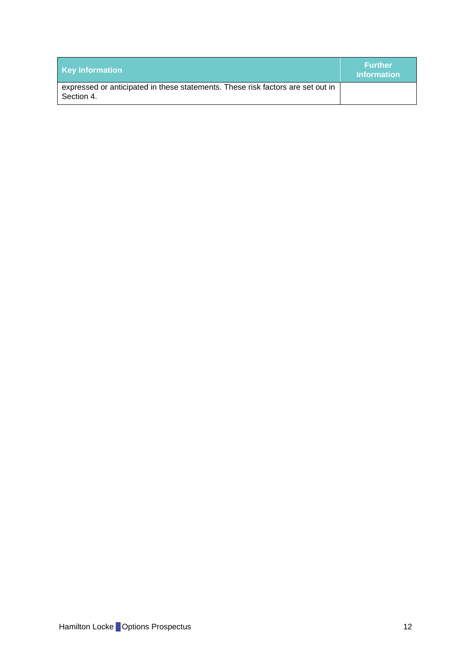| <b>Key Information</b>                                                                        | <b>Further</b><br><b>Information</b> |
|-----------------------------------------------------------------------------------------------|--------------------------------------|
| expressed or anticipated in these statements. These risk factors are set out in<br>Section 4. |                                      |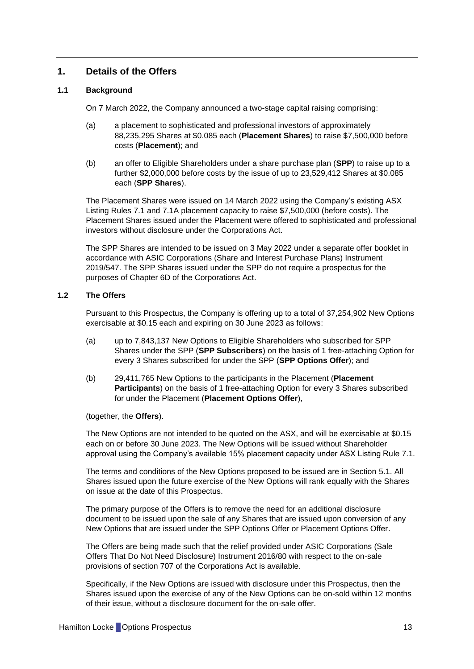# <span id="page-13-0"></span>**1. Details of the Offers**

## **1.1 Background**

On 7 March 2022, the Company announced a two-stage capital raising comprising:

- <span id="page-13-2"></span>(a) a placement to sophisticated and professional investors of approximately 88,235,295 Shares at \$0.085 each (**Placement Shares**) to raise \$7,500,000 before costs (**Placement**); and
- <span id="page-13-3"></span>(b) an offer to Eligible Shareholders under a share purchase plan (**SPP**) to raise up to a further \$2,000,000 before costs by the issue of up to 23,529,412 Shares at \$0.085 each (**SPP Shares**).

The Placement Shares were issued on 14 March 2022 using the Company's existing ASX Listing Rules 7.1 and 7.1A placement capacity to raise \$7,500,000 (before costs). The Placement Shares issued under the Placement were offered to sophisticated and professional investors without disclosure under the Corporations Act.

The SPP Shares are intended to be issued on 3 May 2022 under a separate offer booklet in accordance with ASIC Corporations (Share and Interest Purchase Plans) Instrument 2019/547. The SPP Shares issued under the SPP do not require a prospectus for the purposes of Chapter 6D of the Corporations Act.

# <span id="page-13-1"></span>**1.2 The Offers**

Pursuant to this Prospectus, the Company is offering up to a total of 37,254,902 New Options exercisable at \$0.15 each and expiring on 30 June 2023 as follows:

- (a) up to 7,843,137 New Options to Eligible Shareholders who subscribed for SPP Shares under the SPP (**SPP Subscribers**) on the basis of 1 free-attaching Option for every 3 Shares subscribed for under the SPP (**SPP Options Offer**); and
- (b) 29,411,765 New Options to the participants in the Placement (**Placement Participants**) on the basis of 1 free-attaching Option for every 3 Shares subscribed for under the Placement (**Placement Options Offer**),

(together, the **Offers**).

The New Options are not intended to be quoted on the ASX, and will be exercisable at \$0.15 each on or before 30 June 2023. The New Options will be issued without Shareholder approval using the Company's available 15% placement capacity under ASX Listing Rule 7.1.

The terms and conditions of the New Options proposed to be issued are in Section [5.1.](#page-28-1) All Shares issued upon the future exercise of the New Options will rank equally with the Shares on issue at the date of this Prospectus.

The primary purpose of the Offers is to remove the need for an additional disclosure document to be issued upon the sale of any Shares that are issued upon conversion of any New Options that are issued under the SPP Options Offer or Placement Options Offer.

The Offers are being made such that the relief provided under ASIC Corporations (Sale Offers That Do Not Need Disclosure) Instrument 2016/80 with respect to the on-sale provisions of section 707 of the Corporations Act is available.

Specifically, if the New Options are issued with disclosure under this Prospectus, then the Shares issued upon the exercise of any of the New Options can be on-sold within 12 months of their issue, without a disclosure document for the on-sale offer.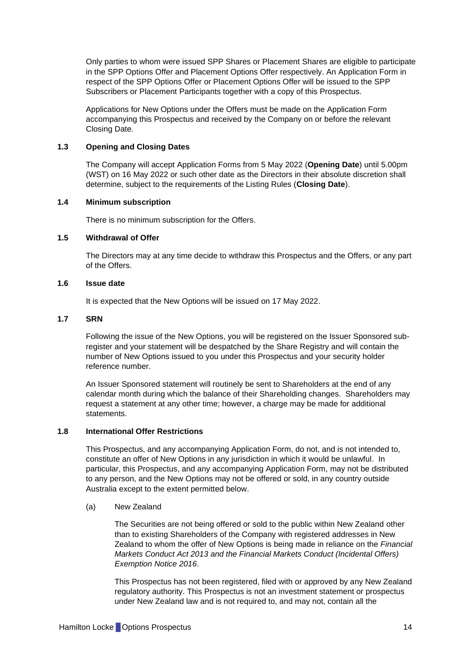Only parties to whom were issued SPP Shares or Placement Shares are eligible to participate in the SPP Options Offer and Placement Options Offer respectively. An Application Form in respect of the SPP Options Offer or Placement Options Offer will be issued to the SPP Subscribers or Placement Participants together with a copy of this Prospectus.

Applications for New Options under the Offers must be made on the Application Form accompanying this Prospectus and received by the Company on or before the relevant Closing Date.

# <span id="page-14-1"></span>**1.3 Opening and Closing Dates**

The Company will accept Application Forms from 5 May 2022 (**Opening Date**) until 5.00pm (WST) on 16 May 2022 or such other date as the Directors in their absolute discretion shall determine, subject to the requirements of the Listing Rules (**Closing Date**).

#### **1.4 Minimum subscription**

There is no minimum subscription for the Offers.

#### **1.5 Withdrawal of Offer**

The Directors may at any time decide to withdraw this Prospectus and the Offers, or any part of the Offers.

#### **1.6 Issue date**

It is expected that the New Options will be issued on 17 May 2022.

## **1.7 SRN**

Following the issue of the New Options, you will be registered on the Issuer Sponsored subregister and your statement will be despatched by the Share Registry and will contain the number of New Options issued to you under this Prospectus and your security holder reference number.

An Issuer Sponsored statement will routinely be sent to Shareholders at the end of any calendar month during which the balance of their Shareholding changes. Shareholders may request a statement at any other time; however, a charge may be made for additional statements.

## <span id="page-14-0"></span>**1.8 International Offer Restrictions**

This Prospectus, and any accompanying Application Form, do not, and is not intended to, constitute an offer of New Options in any jurisdiction in which it would be unlawful. In particular, this Prospectus, and any accompanying Application Form, may not be distributed to any person, and the New Options may not be offered or sold, in any country outside Australia except to the extent permitted below.

#### (a) New Zealand

The Securities are not being offered or sold to the public within New Zealand other than to existing Shareholders of the Company with registered addresses in New Zealand to whom the offer of New Options is being made in reliance on the *Financial Markets Conduct Act 2013 and the Financial Markets Conduct (Incidental Offers) Exemption Notice 2016*.

This Prospectus has not been registered, filed with or approved by any New Zealand regulatory authority. This Prospectus is not an investment statement or prospectus under New Zealand law and is not required to, and may not, contain all the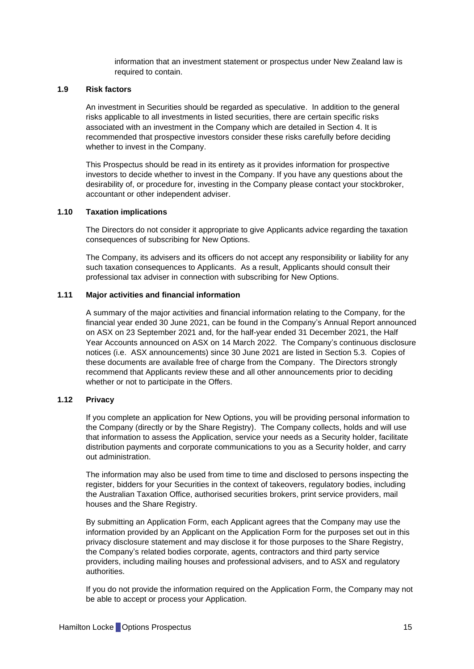information that an investment statement or prospectus under New Zealand law is required to contain.

#### **1.9 Risk factors**

An investment in Securities should be regarded as speculative. In addition to the general risks applicable to all investments in listed securities, there are certain specific risks associated with an investment in the Company which are detailed in Section [4.](#page-20-0) It is recommended that prospective investors consider these risks carefully before deciding whether to invest in the Company.

This Prospectus should be read in its entirety as it provides information for prospective investors to decide whether to invest in the Company. If you have any questions about the desirability of, or procedure for, investing in the Company please contact your stockbroker, accountant or other independent adviser.

### **1.10 Taxation implications**

The Directors do not consider it appropriate to give Applicants advice regarding the taxation consequences of subscribing for New Options.

The Company, its advisers and its officers do not accept any responsibility or liability for any such taxation consequences to Applicants. As a result, Applicants should consult their professional tax adviser in connection with subscribing for New Options.

# **1.11 Major activities and financial information**

A summary of the major activities and financial information relating to the Company, for the financial year ended 30 June 2021, can be found in the Company's Annual Report announced on ASX on 23 September 2021 and, for the half-year ended 31 December 2021, the Half Year Accounts announced on ASX on 14 March 2022. The Company's continuous disclosure notices (i.e. ASX announcements) since 30 June 2021 are listed in Section [5.3.](#page-30-0) Copies of these documents are available free of charge from the Company. The Directors strongly recommend that Applicants review these and all other announcements prior to deciding whether or not to participate in the Offers.

#### **1.12 Privacy**

If you complete an application for New Options, you will be providing personal information to the Company (directly or by the Share Registry). The Company collects, holds and will use that information to assess the Application, service your needs as a Security holder, facilitate distribution payments and corporate communications to you as a Security holder, and carry out administration.

The information may also be used from time to time and disclosed to persons inspecting the register, bidders for your Securities in the context of takeovers, regulatory bodies, including the Australian Taxation Office, authorised securities brokers, print service providers, mail houses and the Share Registry.

By submitting an Application Form, each Applicant agrees that the Company may use the information provided by an Applicant on the Application Form for the purposes set out in this privacy disclosure statement and may disclose it for those purposes to the Share Registry, the Company's related bodies corporate, agents, contractors and third party service providers, including mailing houses and professional advisers, and to ASX and regulatory authorities.

If you do not provide the information required on the Application Form, the Company may not be able to accept or process your Application.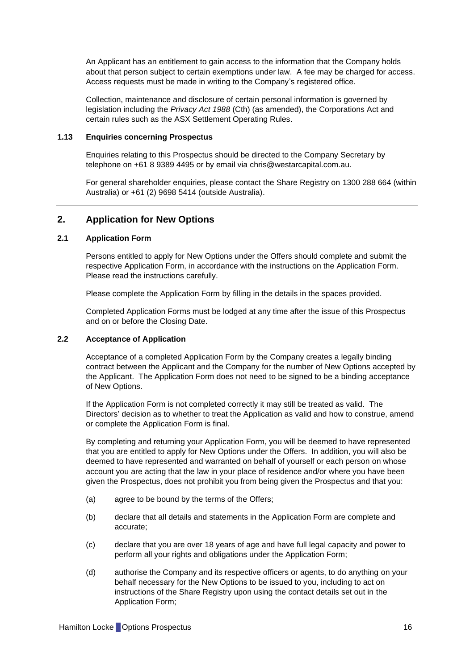An Applicant has an entitlement to gain access to the information that the Company holds about that person subject to certain exemptions under law. A fee may be charged for access. Access requests must be made in writing to the Company's registered office.

Collection, maintenance and disclosure of certain personal information is governed by legislation including the *Privacy Act 1988* (Cth) (as amended), the Corporations Act and certain rules such as the ASX Settlement Operating Rules.

# **1.13 Enquiries concerning Prospectus**

Enquiries relating to this Prospectus should be directed to the Company Secretary by telephone on +61 8 9389 4495 or by email via chris@westarcapital.com.au.

For general shareholder enquiries, please contact the Share Registry on 1300 288 664 (within Australia) or +61 (2) 9698 5414 (outside Australia).

# <span id="page-16-0"></span>**2. Application for New Options**

#### **2.1 Application Form**

Persons entitled to apply for New Options under the Offers should complete and submit the respective Application Form, in accordance with the instructions on the Application Form. Please read the instructions carefully.

Please complete the Application Form by filling in the details in the spaces provided.

Completed Application Forms must be lodged at any time after the issue of this Prospectus and on or before the Closing Date.

## **2.2 Acceptance of Application**

Acceptance of a completed Application Form by the Company creates a legally binding contract between the Applicant and the Company for the number of New Options accepted by the Applicant. The Application Form does not need to be signed to be a binding acceptance of New Options.

If the Application Form is not completed correctly it may still be treated as valid. The Directors' decision as to whether to treat the Application as valid and how to construe, amend or complete the Application Form is final.

By completing and returning your Application Form, you will be deemed to have represented that you are entitled to apply for New Options under the Offers. In addition, you will also be deemed to have represented and warranted on behalf of yourself or each person on whose account you are acting that the law in your place of residence and/or where you have been given the Prospectus, does not prohibit you from being given the Prospectus and that you:

- (a) agree to be bound by the terms of the Offers;
- (b) declare that all details and statements in the Application Form are complete and accurate;
- (c) declare that you are over 18 years of age and have full legal capacity and power to perform all your rights and obligations under the Application Form;
- (d) authorise the Company and its respective officers or agents, to do anything on your behalf necessary for the New Options to be issued to you, including to act on instructions of the Share Registry upon using the contact details set out in the Application Form;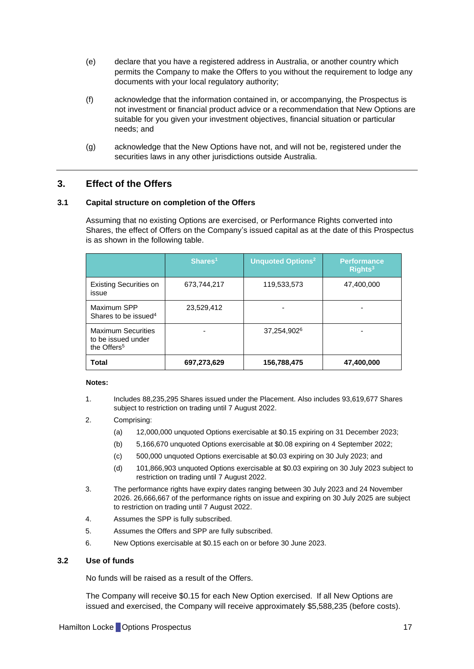- (e) declare that you have a registered address in Australia, or another country which permits the Company to make the Offers to you without the requirement to lodge any documents with your local regulatory authority;
- (f) acknowledge that the information contained in, or accompanying, the Prospectus is not investment or financial product advice or a recommendation that New Options are suitable for you given your investment objectives, financial situation or particular needs; and
- (g) acknowledge that the New Options have not, and will not be, registered under the securities laws in any other jurisdictions outside Australia.

# <span id="page-17-0"></span>**3. Effect of the Offers**

#### <span id="page-17-2"></span>**3.1 Capital structure on completion of the Offers**

Assuming that no existing Options are exercised, or Performance Rights converted into Shares, the effect of Offers on the Company's issued capital as at the date of this Prospectus is as shown in the following table.

|                                                                            | Shares <sup>1</sup> | <b>Unquoted Options<sup>2</sup></b> | <b>Performance</b><br>Rights <sup>3</sup> |
|----------------------------------------------------------------------------|---------------------|-------------------------------------|-------------------------------------------|
| <b>Existing Securities on</b><br>issue                                     | 673,744,217         | 119,533,573                         | 47,400,000                                |
| Maximum SPP<br>Shares to be issued <sup>4</sup>                            | 23,529,412          |                                     |                                           |
| <b>Maximum Securities</b><br>to be issued under<br>the Offers <sup>5</sup> |                     | 37,254,902 <sup>6</sup>             |                                           |
| Total                                                                      | 697,273,629         | 156,788,475                         | 47,400,000                                |

#### **Notes:**

- 1. Includes 88,235,295 Shares issued under the Placement. Also includes 93,619,677 Shares subject to restriction on trading until 7 August 2022.
- 2. Comprising:
	- (a) 12,000,000 unquoted Options exercisable at \$0.15 expiring on 31 December 2023;
	- (b) 5,166,670 unquoted Options exercisable at \$0.08 expiring on 4 September 2022;
	- (c) 500,000 unquoted Options exercisable at \$0.03 expiring on 30 July 2023; and
	- (d) 101,866,903 unquoted Options exercisable at \$0.03 expiring on 30 July 2023 subject to restriction on trading until 7 August 2022.
- 3. The performance rights have expiry dates ranging between 30 July 2023 and 24 November 2026. 26,666,667 of the performance rights on issue and expiring on 30 July 2025 are subject to restriction on trading until 7 August 2022.
- 4. Assumes the SPP is fully subscribed.
- 5. Assumes the Offers and SPP are fully subscribed.
- 6. New Options exercisable at \$0.15 each on or before 30 June 2023.

## <span id="page-17-1"></span>**3.2 Use of funds**

No funds will be raised as a result of the Offers.

The Company will receive \$0.15 for each New Option exercised. If all New Options are issued and exercised, the Company will receive approximately \$5,588,235 (before costs).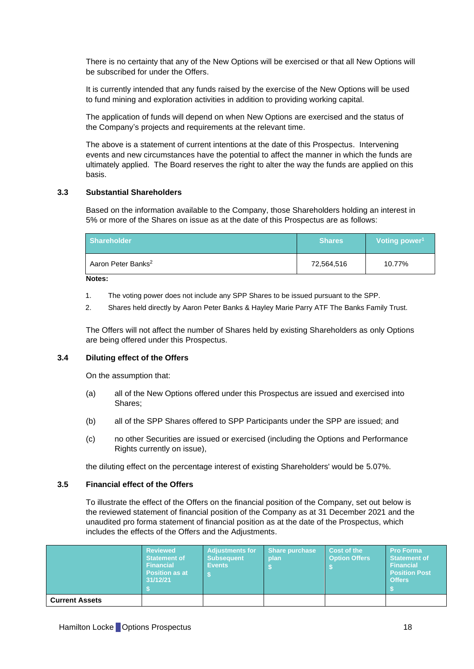There is no certainty that any of the New Options will be exercised or that all New Options will be subscribed for under the Offers.

It is currently intended that any funds raised by the exercise of the New Options will be used to fund mining and exploration activities in addition to providing working capital.

The application of funds will depend on when New Options are exercised and the status of the Company's projects and requirements at the relevant time.

The above is a statement of current intentions at the date of this Prospectus. Intervening events and new circumstances have the potential to affect the manner in which the funds are ultimately applied. The Board reserves the right to alter the way the funds are applied on this basis.

#### **3.3 Substantial Shareholders**

Based on the information available to the Company, those Shareholders holding an interest in 5% or more of the Shares on issue as at the date of this Prospectus are as follows:

| <b>Shareholder</b>             | <b>Shares</b> | Voting power <sup>1</sup> |  |
|--------------------------------|---------------|---------------------------|--|
| Aaron Peter Banks <sup>2</sup> | 72,564,516    | 10.77%                    |  |

**Notes:**

- 1. The voting power does not include any SPP Shares to be issued pursuant to the SPP.
- 2. Shares held directly by Aaron Peter Banks & Hayley Marie Parry ATF The Banks Family Trust.

The Offers will not affect the number of Shares held by existing Shareholders as only Options are being offered under this Prospectus.

#### **3.4 Diluting effect of the Offers**

On the assumption that:

- (a) all of the New Options offered under this Prospectus are issued and exercised into Shares;
- (b) all of the SPP Shares offered to SPP Participants under the SPP are issued; and
- (c) no other Securities are issued or exercised (including the Options and Performance Rights currently on issue),

the diluting effect on the percentage interest of existing Shareholders' would be 5.07%.

#### **3.5 Financial effect of the Offers**

To illustrate the effect of the Offers on the financial position of the Company, set out below is the reviewed statement of financial position of the Company as at 31 December 2021 and the unaudited pro forma statement of financial position as at the date of the Prospectus, which includes the effects of the Offers and the Adjustments.

|                       | <b>Reviewed</b><br><b>Statement of</b><br><b>Financial</b><br><b>Position as at</b><br>31/12/21 | Adjustments for<br><b>Subsequent</b><br><b>Events</b> | <b>Share purchase</b><br>plan | Cost of the<br><b>Option Offers</b> | <b>Pro Forma</b><br><b>Statement of</b><br><b>Financial</b><br><b>Position Post</b><br><b>Offers</b> |
|-----------------------|-------------------------------------------------------------------------------------------------|-------------------------------------------------------|-------------------------------|-------------------------------------|------------------------------------------------------------------------------------------------------|
| <b>Current Assets</b> |                                                                                                 |                                                       |                               |                                     |                                                                                                      |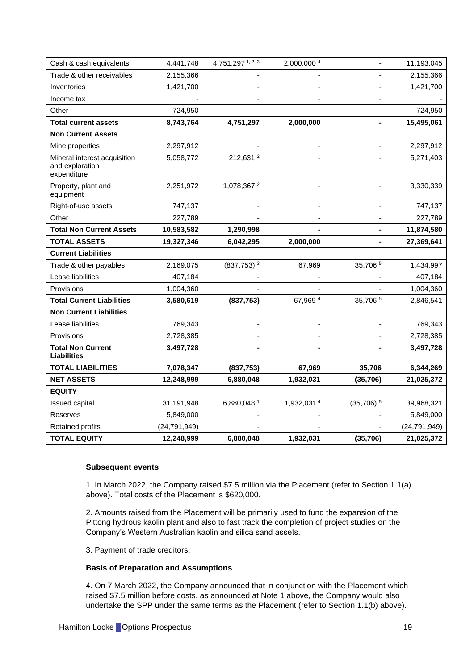| Cash & cash equivalents                                        | 4,441,748      | 4,751,297 1, 2, 3        | 2,000,000 4 | ÷,                           | 11,193,045     |
|----------------------------------------------------------------|----------------|--------------------------|-------------|------------------------------|----------------|
| Trade & other receivables                                      | 2,155,366      |                          |             |                              | 2,155,366      |
| Inventories                                                    | 1,421,700      |                          |             | $\overline{\phantom{0}}$     | 1,421,700      |
| Income tax                                                     |                |                          |             | $\blacksquare$               |                |
| Other                                                          | 724,950        |                          |             | $\qquad \qquad \blacksquare$ | 724,950        |
| <b>Total current assets</b>                                    | 8,743,764      | 4,751,297                | 2,000,000   | $\blacksquare$               | 15,495,061     |
| <b>Non Current Assets</b>                                      |                |                          |             |                              |                |
| Mine properties                                                | 2,297,912      |                          |             | $\overline{a}$               | 2,297,912      |
| Mineral interest acquisition<br>and exploration<br>expenditure | 5,058,772      | 212,631 <sup>2</sup>     |             |                              | 5,271,403      |
| Property, plant and<br>equipment                               | 2,251,972      | 1,078,367 <sup>2</sup>   |             |                              | 3,330,339      |
| Right-of-use assets                                            | 747,137        |                          |             | $\blacksquare$               | 747,137        |
| Other                                                          | 227,789        |                          |             |                              | 227,789        |
| <b>Total Non Current Assets</b>                                | 10,583,582     | 1,290,998                |             | -                            | 11,874,580     |
| <b>TOTAL ASSETS</b>                                            | 19,327,346     | 6,042,295                | 2,000,000   | -                            | 27,369,641     |
| <b>Current Liabilities</b>                                     |                |                          |             |                              |                |
| Trade & other payables                                         | 2,169,075      | $(837,753)$ <sup>3</sup> | 67,969      | 35,706 5                     | 1,434,997      |
| Lease liabilities                                              | 407,184        |                          |             |                              | 407,184        |
| Provisions                                                     | 1,004,360      |                          |             |                              | 1,004,360      |
| <b>Total Current Liabilities</b>                               | 3,580,619      | (837, 753)               | 67,969 4    | 35,706 5                     | 2,846,541      |
| <b>Non Current Liabilities</b>                                 |                |                          |             |                              |                |
| Lease liabilities                                              | 769,343        |                          |             |                              | 769,343        |
| Provisions                                                     | 2,728,385      |                          |             |                              | 2,728,385      |
| <b>Total Non Current</b><br><b>Liabilities</b>                 | 3,497,728      |                          |             |                              | 3,497,728      |
| <b>TOTAL LIABILITIES</b>                                       | 7,078,347      | (837, 753)               | 67,969      | 35,706                       | 6,344,269      |
| <b>NET ASSETS</b>                                              | 12,248,999     | 6,880,048                | 1,932,031   | (35, 706)                    | 21,025,372     |
| <b>EQUITY</b>                                                  |                |                          |             |                              |                |
| <b>Issued capital</b>                                          | 31,191,948     | 6,880,048 1              | 1,932,0314  | $(35,706)^5$                 | 39,968,321     |
| Reserves                                                       | 5,849,000      |                          |             |                              | 5,849,000      |
| Retained profits                                               | (24, 791, 949) |                          |             |                              | (24, 791, 949) |
| <b>TOTAL EQUITY</b>                                            | 12,248,999     | 6,880,048                | 1,932,031   | (35, 706)                    | 21,025,372     |

# **Subsequent events**

1. In March 2022, the Company raised \$7.5 million via the Placement (refer to Section [1.1\(a\)](#page-13-2) above). Total costs of the Placement is \$620,000.

2. Amounts raised from the Placement will be primarily used to fund the expansion of the Pittong hydrous kaolin plant and also to fast track the completion of project studies on the Company's Western Australian kaolin and silica sand assets.

3. Payment of trade creditors.

#### **Basis of Preparation and Assumptions**

4. On 7 March 2022, the Company announced that in conjunction with the Placement which raised \$7.5 million before costs, as announced at Note 1 above, the Company would also undertake the SPP under the same terms as the Placement (refer to Section [1.1\(b\)](#page-13-3) above).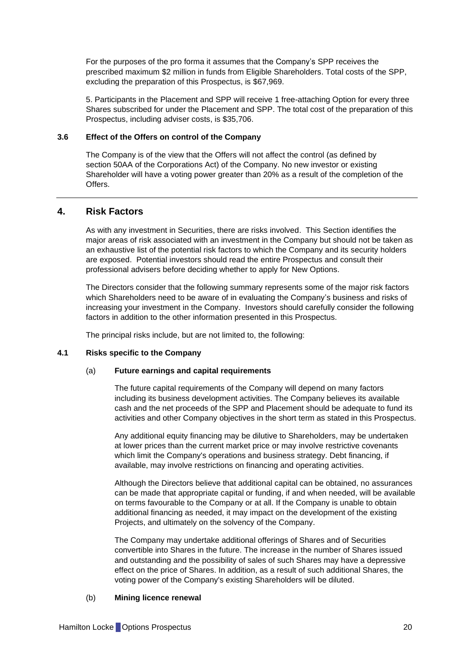For the purposes of the pro forma it assumes that the Company's SPP receives the prescribed maximum \$2 million in funds from Eligible Shareholders. Total costs of the SPP, excluding the preparation of this Prospectus, is \$67,969.

5. Participants in the Placement and SPP will receive 1 free-attaching Option for every three Shares subscribed for under the Placement and SPP. The total cost of the preparation of this Prospectus, including adviser costs, is \$35,706.

# <span id="page-20-1"></span>**3.6 Effect of the Offers on control of the Company**

The Company is of the view that the Offers will not affect the control (as defined by section 50AA of the Corporations Act) of the Company. No new investor or existing Shareholder will have a voting power greater than 20% as a result of the completion of the Offers.

# <span id="page-20-0"></span>**4. Risk Factors**

As with any investment in Securities, there are risks involved. This Section identifies the major areas of risk associated with an investment in the Company but should not be taken as an exhaustive list of the potential risk factors to which the Company and its security holders are exposed. Potential investors should read the entire Prospectus and consult their professional advisers before deciding whether to apply for New Options.

The Directors consider that the following summary represents some of the major risk factors which Shareholders need to be aware of in evaluating the Company's business and risks of increasing your investment in the Company. Investors should carefully consider the following factors in addition to the other information presented in this Prospectus.

The principal risks include, but are not limited to, the following:

#### **4.1 Risks specific to the Company**

#### (a) **Future earnings and capital requirements**

The future capital requirements of the Company will depend on many factors including its business development activities. The Company believes its available cash and the net proceeds of the SPP and Placement should be adequate to fund its activities and other Company objectives in the short term as stated in this Prospectus.

Any additional equity financing may be dilutive to Shareholders, may be undertaken at lower prices than the current market price or may involve restrictive covenants which limit the Company's operations and business strategy. Debt financing, if available, may involve restrictions on financing and operating activities.

Although the Directors believe that additional capital can be obtained, no assurances can be made that appropriate capital or funding, if and when needed, will be available on terms favourable to the Company or at all. If the Company is unable to obtain additional financing as needed, it may impact on the development of the existing Projects, and ultimately on the solvency of the Company.

The Company may undertake additional offerings of Shares and of Securities convertible into Shares in the future. The increase in the number of Shares issued and outstanding and the possibility of sales of such Shares may have a depressive effect on the price of Shares. In addition, as a result of such additional Shares, the voting power of the Company's existing Shareholders will be diluted.

# (b) **Mining licence renewal**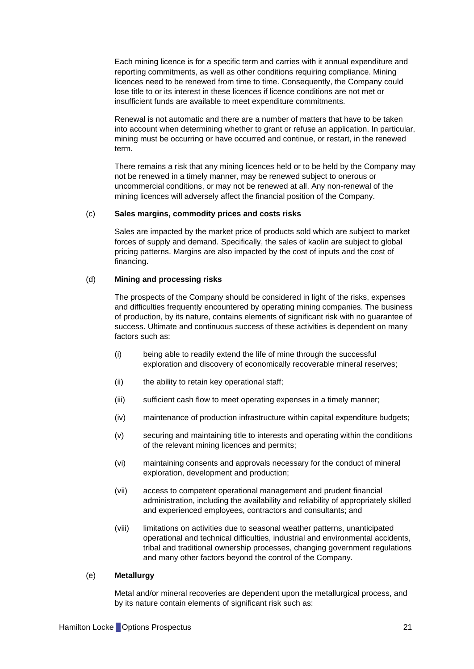Each mining licence is for a specific term and carries with it annual expenditure and reporting commitments, as well as other conditions requiring compliance. Mining licences need to be renewed from time to time. Consequently, the Company could lose title to or its interest in these licences if licence conditions are not met or insufficient funds are available to meet expenditure commitments.

Renewal is not automatic and there are a number of matters that have to be taken into account when determining whether to grant or refuse an application. In particular, mining must be occurring or have occurred and continue, or restart, in the renewed term.

There remains a risk that any mining licences held or to be held by the Company may not be renewed in a timely manner, may be renewed subject to onerous or uncommercial conditions, or may not be renewed at all. Any non-renewal of the mining licences will adversely affect the financial position of the Company.

#### (c) **Sales margins, commodity prices and costs risks**

Sales are impacted by the market price of products sold which are subject to market forces of supply and demand. Specifically, the sales of kaolin are subject to global pricing patterns. Margins are also impacted by the cost of inputs and the cost of financing.

#### (d) **Mining and processing risks**

The prospects of the Company should be considered in light of the risks, expenses and difficulties frequently encountered by operating mining companies. The business of production, by its nature, contains elements of significant risk with no guarantee of success. Ultimate and continuous success of these activities is dependent on many factors such as:

- (i) being able to readily extend the life of mine through the successful exploration and discovery of economically recoverable mineral reserves;
- (ii) the ability to retain key operational staff;
- (iii) sufficient cash flow to meet operating expenses in a timely manner;
- (iv) maintenance of production infrastructure within capital expenditure budgets;
- (v) securing and maintaining title to interests and operating within the conditions of the relevant mining licences and permits;
- (vi) maintaining consents and approvals necessary for the conduct of mineral exploration, development and production;
- (vii) access to competent operational management and prudent financial administration, including the availability and reliability of appropriately skilled and experienced employees, contractors and consultants; and
- (viii) limitations on activities due to seasonal weather patterns, unanticipated operational and technical difficulties, industrial and environmental accidents, tribal and traditional ownership processes, changing government regulations and many other factors beyond the control of the Company.

#### (e) **Metallurgy**

Metal and/or mineral recoveries are dependent upon the metallurgical process, and by its nature contain elements of significant risk such as: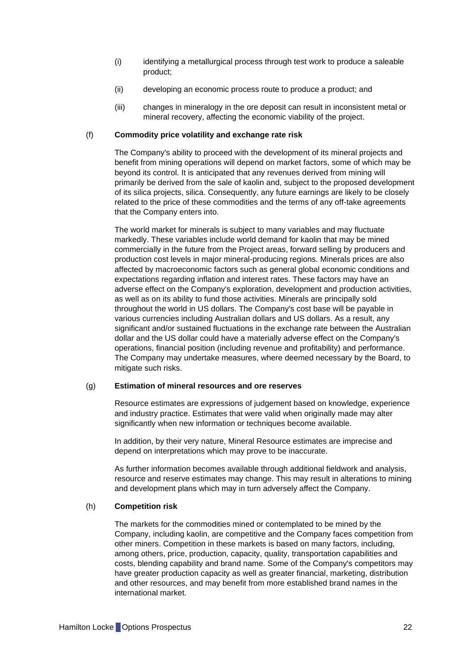- (i) identifying a metallurgical process through test work to produce a saleable product;
- (ii) developing an economic process route to produce a product; and
- (iii) changes in mineralogy in the ore deposit can result in inconsistent metal or mineral recovery, affecting the economic viability of the project.

### (f) **Commodity price volatility and exchange rate risk**

The Company's ability to proceed with the development of its mineral projects and benefit from mining operations will depend on market factors, some of which may be beyond its control. It is anticipated that any revenues derived from mining will primarily be derived from the sale of kaolin and, subject to the proposed development of its silica projects, silica. Consequently, any future earnings are likely to be closely related to the price of these commodities and the terms of any off-take agreements that the Company enters into.

The world market for minerals is subject to many variables and may fluctuate markedly. These variables include world demand for kaolin that may be mined commercially in the future from the Project areas, forward selling by producers and production cost levels in major mineral-producing regions. Minerals prices are also affected by macroeconomic factors such as general global economic conditions and expectations regarding inflation and interest rates. These factors may have an adverse effect on the Company's exploration, development and production activities, as well as on its ability to fund those activities. Minerals are principally sold throughout the world in US dollars. The Company's cost base will be payable in various currencies including Australian dollars and US dollars. As a result, any significant and/or sustained fluctuations in the exchange rate between the Australian dollar and the US dollar could have a materially adverse effect on the Company's operations, financial position (including revenue and profitability) and performance. The Company may undertake measures, where deemed necessary by the Board, to mitigate such risks.

#### (g) **Estimation of mineral resources and ore reserves**

Resource estimates are expressions of judgement based on knowledge, experience and industry practice. Estimates that were valid when originally made may alter significantly when new information or techniques become available.

In addition, by their very nature, Mineral Resource estimates are imprecise and depend on interpretations which may prove to be inaccurate.

As further information becomes available through additional fieldwork and analysis, resource and reserve estimates may change. This may result in alterations to mining and development plans which may in turn adversely affect the Company.

# (h) **Competition risk**

The markets for the commodities mined or contemplated to be mined by the Company, including kaolin, are competitive and the Company faces competition from other miners. Competition in these markets is based on many factors, including, among others, price, production, capacity, quality, transportation capabilities and costs, blending capability and brand name. Some of the Company's competitors may have greater production capacity as well as greater financial, marketing, distribution and other resources, and may benefit from more established brand names in the international market.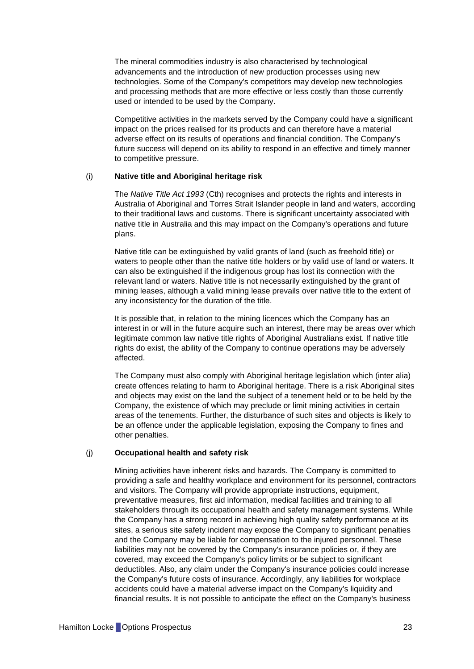The mineral commodities industry is also characterised by technological advancements and the introduction of new production processes using new technologies. Some of the Company's competitors may develop new technologies and processing methods that are more effective or less costly than those currently used or intended to be used by the Company.

Competitive activities in the markets served by the Company could have a significant impact on the prices realised for its products and can therefore have a material adverse effect on its results of operations and financial condition. The Company's future success will depend on its ability to respond in an effective and timely manner to competitive pressure.

#### (i) **Native title and Aboriginal heritage risk**

The *Native Title Act 1993* (Cth) recognises and protects the rights and interests in Australia of Aboriginal and Torres Strait Islander people in land and waters, according to their traditional laws and customs. There is significant uncertainty associated with native title in Australia and this may impact on the Company's operations and future plans.

Native title can be extinguished by valid grants of land (such as freehold title) or waters to people other than the native title holders or by valid use of land or waters. It can also be extinguished if the indigenous group has lost its connection with the relevant land or waters. Native title is not necessarily extinguished by the grant of mining leases, although a valid mining lease prevails over native title to the extent of any inconsistency for the duration of the title.

It is possible that, in relation to the mining licences which the Company has an interest in or will in the future acquire such an interest, there may be areas over which legitimate common law native title rights of Aboriginal Australians exist. If native title rights do exist, the ability of the Company to continue operations may be adversely affected.

The Company must also comply with Aboriginal heritage legislation which (inter alia) create offences relating to harm to Aboriginal heritage. There is a risk Aboriginal sites and objects may exist on the land the subject of a tenement held or to be held by the Company, the existence of which may preclude or limit mining activities in certain areas of the tenements. Further, the disturbance of such sites and objects is likely to be an offence under the applicable legislation, exposing the Company to fines and other penalties.

#### (j) **Occupational health and safety risk**

Mining activities have inherent risks and hazards. The Company is committed to providing a safe and healthy workplace and environment for its personnel, contractors and visitors. The Company will provide appropriate instructions, equipment, preventative measures, first aid information, medical facilities and training to all stakeholders through its occupational health and safety management systems. While the Company has a strong record in achieving high quality safety performance at its sites, a serious site safety incident may expose the Company to significant penalties and the Company may be liable for compensation to the injured personnel. These liabilities may not be covered by the Company's insurance policies or, if they are covered, may exceed the Company's policy limits or be subject to significant deductibles. Also, any claim under the Company's insurance policies could increase the Company's future costs of insurance. Accordingly, any liabilities for workplace accidents could have a material adverse impact on the Company's liquidity and financial results. It is not possible to anticipate the effect on the Company's business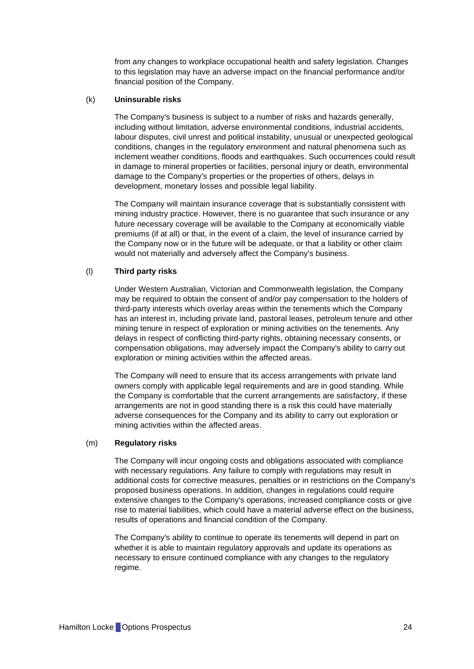from any changes to workplace occupational health and safety legislation. Changes to this legislation may have an adverse impact on the financial performance and/or financial position of the Company.

# (k) **Uninsurable risks**

The Company's business is subject to a number of risks and hazards generally, including without limitation, adverse environmental conditions, industrial accidents, labour disputes, civil unrest and political instability, unusual or unexpected geological conditions, changes in the regulatory environment and natural phenomena such as inclement weather conditions, floods and earthquakes. Such occurrences could result in damage to mineral properties or facilities, personal injury or death, environmental damage to the Company's properties or the properties of others, delays in development, monetary losses and possible legal liability.

The Company will maintain insurance coverage that is substantially consistent with mining industry practice. However, there is no guarantee that such insurance or any future necessary coverage will be available to the Company at economically viable premiums (if at all) or that, in the event of a claim, the level of insurance carried by the Company now or in the future will be adequate, or that a liability or other claim would not materially and adversely affect the Company's business.

# (l) **Third party risks**

Under Western Australian, Victorian and Commonwealth legislation, the Company may be required to obtain the consent of and/or pay compensation to the holders of third-party interests which overlay areas within the tenements which the Company has an interest in, including private land, pastoral leases, petroleum tenure and other mining tenure in respect of exploration or mining activities on the tenements. Any delays in respect of conflicting third-party rights, obtaining necessary consents, or compensation obligations, may adversely impact the Company's ability to carry out exploration or mining activities within the affected areas.

The Company will need to ensure that its access arrangements with private land owners comply with applicable legal requirements and are in good standing. While the Company is comfortable that the current arrangements are satisfactory, if these arrangements are not in good standing there is a risk this could have materially adverse consequences for the Company and its ability to carry out exploration or mining activities within the affected areas.

# (m) **Regulatory risks**

The Company will incur ongoing costs and obligations associated with compliance with necessary regulations. Any failure to comply with regulations may result in additional costs for corrective measures, penalties or in restrictions on the Company's proposed business operations. In addition, changes in regulations could require extensive changes to the Company's operations, increased compliance costs or give rise to material liabilities, which could have a material adverse effect on the business, results of operations and financial condition of the Company.

The Company's ability to continue to operate its tenements will depend in part on whether it is able to maintain regulatory approvals and update its operations as necessary to ensure continued compliance with any changes to the regulatory regime.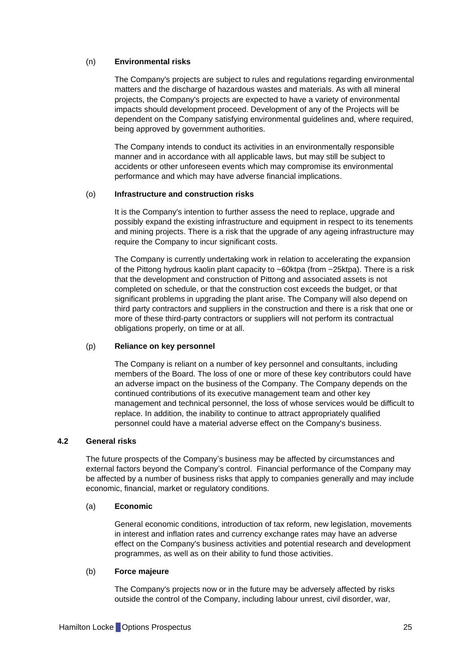# (n) **Environmental risks**

The Company's projects are subject to rules and regulations regarding environmental matters and the discharge of hazardous wastes and materials. As with all mineral projects, the Company's projects are expected to have a variety of environmental impacts should development proceed. Development of any of the Projects will be dependent on the Company satisfying environmental guidelines and, where required, being approved by government authorities.

The Company intends to conduct its activities in an environmentally responsible manner and in accordance with all applicable laws, but may still be subject to accidents or other unforeseen events which may compromise its environmental performance and which may have adverse financial implications.

#### (o) **Infrastructure and construction risks**

It is the Company's intention to further assess the need to replace, upgrade and possibly expand the existing infrastructure and equipment in respect to its tenements and mining projects. There is a risk that the upgrade of any ageing infrastructure may require the Company to incur significant costs.

The Company is currently undertaking work in relation to accelerating the expansion of the Pittong hydrous kaolin plant capacity to ~60ktpa (from ~25ktpa). There is a risk that the development and construction of Pittong and associated assets is not completed on schedule, or that the construction cost exceeds the budget, or that significant problems in upgrading the plant arise. The Company will also depend on third party contractors and suppliers in the construction and there is a risk that one or more of these third-party contractors or suppliers will not perform its contractual obligations properly, on time or at all.

#### (p) **Reliance on key personnel**

The Company is reliant on a number of key personnel and consultants, including members of the Board. The loss of one or more of these key contributors could have an adverse impact on the business of the Company. The Company depends on the continued contributions of its executive management team and other key management and technical personnel, the loss of whose services would be difficult to replace. In addition, the inability to continue to attract appropriately qualified personnel could have a material adverse effect on the Company's business.

# **4.2 General risks**

The future prospects of the Company's business may be affected by circumstances and external factors beyond the Company's control. Financial performance of the Company may be affected by a number of business risks that apply to companies generally and may include economic, financial, market or regulatory conditions.

#### (a) **Economic**

General economic conditions, introduction of tax reform, new legislation, movements in interest and inflation rates and currency exchange rates may have an adverse effect on the Company's business activities and potential research and development programmes, as well as on their ability to fund those activities.

#### (b) **Force majeure**

The Company's projects now or in the future may be adversely affected by risks outside the control of the Company, including labour unrest, civil disorder, war,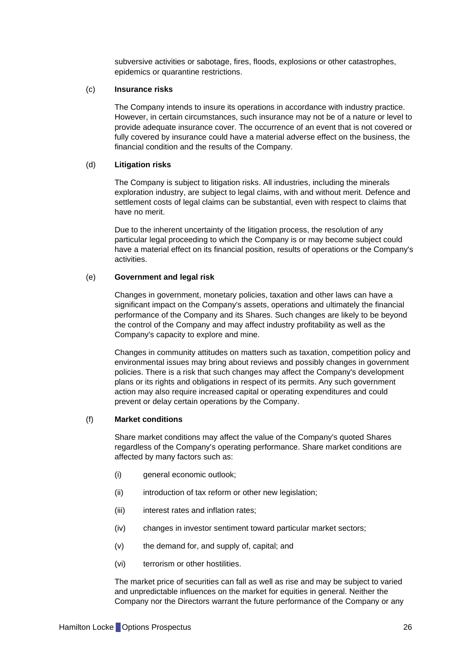subversive activities or sabotage, fires, floods, explosions or other catastrophes, epidemics or quarantine restrictions.

#### (c) **Insurance risks**

The Company intends to insure its operations in accordance with industry practice. However, in certain circumstances, such insurance may not be of a nature or level to provide adequate insurance cover. The occurrence of an event that is not covered or fully covered by insurance could have a material adverse effect on the business, the financial condition and the results of the Company.

#### (d) **Litigation risks**

The Company is subject to litigation risks. All industries, including the minerals exploration industry, are subject to legal claims, with and without merit. Defence and settlement costs of legal claims can be substantial, even with respect to claims that have no merit.

Due to the inherent uncertainty of the litigation process, the resolution of any particular legal proceeding to which the Company is or may become subject could have a material effect on its financial position, results of operations or the Company's activities.

# (e) **Government and legal risk**

Changes in government, monetary policies, taxation and other laws can have a significant impact on the Company's assets, operations and ultimately the financial performance of the Company and its Shares. Such changes are likely to be beyond the control of the Company and may affect industry profitability as well as the Company's capacity to explore and mine.

Changes in community attitudes on matters such as taxation, competition policy and environmental issues may bring about reviews and possibly changes in government policies. There is a risk that such changes may affect the Company's development plans or its rights and obligations in respect of its permits. Any such government action may also require increased capital or operating expenditures and could prevent or delay certain operations by the Company.

# (f) **Market conditions**

Share market conditions may affect the value of the Company's quoted Shares regardless of the Company's operating performance. Share market conditions are affected by many factors such as:

- (i) general economic outlook;
- (ii) introduction of tax reform or other new legislation;
- (iii) interest rates and inflation rates:
- (iv) changes in investor sentiment toward particular market sectors;
- (v) the demand for, and supply of, capital; and
- (vi) terrorism or other hostilities.

The market price of securities can fall as well as rise and may be subject to varied and unpredictable influences on the market for equities in general. Neither the Company nor the Directors warrant the future performance of the Company or any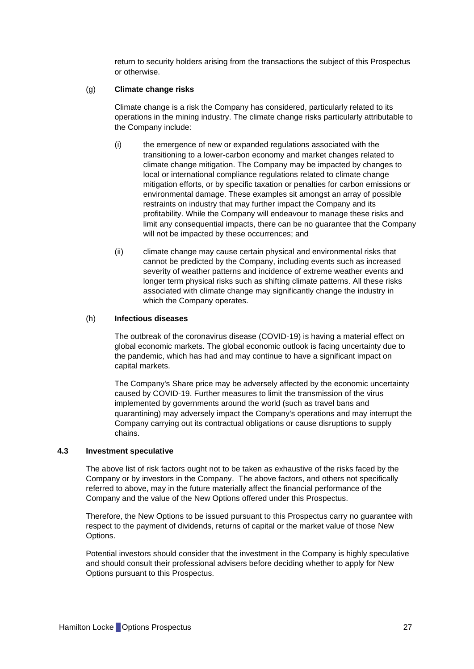return to security holders arising from the transactions the subject of this Prospectus or otherwise.

#### (g) **Climate change risks**

Climate change is a risk the Company has considered, particularly related to its operations in the mining industry. The climate change risks particularly attributable to the Company include:

- (i) the emergence of new or expanded regulations associated with the transitioning to a lower-carbon economy and market changes related to climate change mitigation. The Company may be impacted by changes to local or international compliance regulations related to climate change mitigation efforts, or by specific taxation or penalties for carbon emissions or environmental damage. These examples sit amongst an array of possible restraints on industry that may further impact the Company and its profitability. While the Company will endeavour to manage these risks and limit any consequential impacts, there can be no guarantee that the Company will not be impacted by these occurrences; and
- (ii) climate change may cause certain physical and environmental risks that cannot be predicted by the Company, including events such as increased severity of weather patterns and incidence of extreme weather events and longer term physical risks such as shifting climate patterns. All these risks associated with climate change may significantly change the industry in which the Company operates.

#### (h) **Infectious diseases**

The outbreak of the coronavirus disease (COVID-19) is having a material effect on global economic markets. The global economic outlook is facing uncertainty due to the pandemic, which has had and may continue to have a significant impact on capital markets.

The Company's Share price may be adversely affected by the economic uncertainty caused by COVID-19. Further measures to limit the transmission of the virus implemented by governments around the world (such as travel bans and quarantining) may adversely impact the Company's operations and may interrupt the Company carrying out its contractual obligations or cause disruptions to supply chains.

#### **4.3 Investment speculative**

The above list of risk factors ought not to be taken as exhaustive of the risks faced by the Company or by investors in the Company. The above factors, and others not specifically referred to above, may in the future materially affect the financial performance of the Company and the value of the New Options offered under this Prospectus.

Therefore, the New Options to be issued pursuant to this Prospectus carry no guarantee with respect to the payment of dividends, returns of capital or the market value of those New Options.

Potential investors should consider that the investment in the Company is highly speculative and should consult their professional advisers before deciding whether to apply for New Options pursuant to this Prospectus.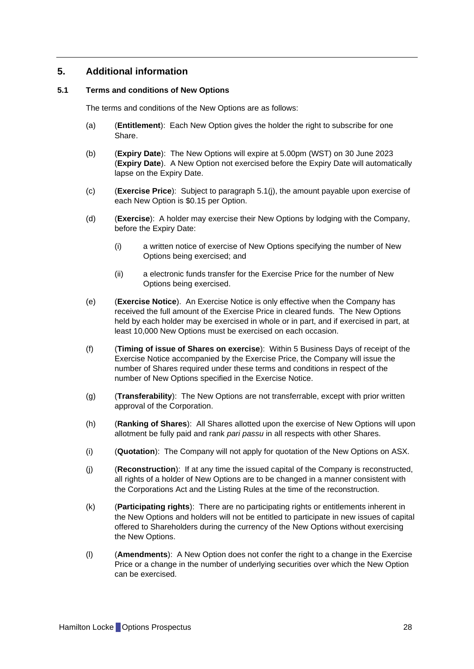# <span id="page-28-0"></span>**5. Additional information**

## <span id="page-28-1"></span>**5.1 Terms and conditions of New Options**

The terms and conditions of the New Options are as follows:

- (a) (**Entitlement**): Each New Option gives the holder the right to subscribe for one Share.
- (b) (**Expiry Date**): The New Options will expire at 5.00pm (WST) on 30 June 2023 (**Expiry Date**). A New Option not exercised before the Expiry Date will automatically lapse on the Expiry Date.
- (c) (**Exercise Price**): Subject to paragraph [5.1\(j\),](#page-28-2) the amount payable upon exercise of each New Option is \$0.15 per Option.
- (d) (**Exercise**): A holder may exercise their New Options by lodging with the Company, before the Expiry Date:
	- (i) a written notice of exercise of New Options specifying the number of New Options being exercised; and
	- (ii) a electronic funds transfer for the Exercise Price for the number of New Options being exercised.
- (e) (**Exercise Notice**). An Exercise Notice is only effective when the Company has received the full amount of the Exercise Price in cleared funds. The New Options held by each holder may be exercised in whole or in part, and if exercised in part, at least 10,000 New Options must be exercised on each occasion.
- (f) (**Timing of issue of Shares on exercise**): Within 5 Business Days of receipt of the Exercise Notice accompanied by the Exercise Price, the Company will issue the number of Shares required under these terms and conditions in respect of the number of New Options specified in the Exercise Notice.
- (g) (**Transferability**): The New Options are not transferrable, except with prior written approval of the Corporation.
- (h) (**Ranking of Shares**): All Shares allotted upon the exercise of New Options will upon allotment be fully paid and rank *pari passu* in all respects with other Shares.
- (i) (**Quotation**): The Company will not apply for quotation of the New Options on ASX.
- <span id="page-28-2"></span>(j) (**Reconstruction**): If at any time the issued capital of the Company is reconstructed, all rights of a holder of New Options are to be changed in a manner consistent with the Corporations Act and the Listing Rules at the time of the reconstruction.
- (k) (**Participating rights**): There are no participating rights or entitlements inherent in the New Options and holders will not be entitled to participate in new issues of capital offered to Shareholders during the currency of the New Options without exercising the New Options.
- (l) (**Amendments**): A New Option does not confer the right to a change in the Exercise Price or a change in the number of underlying securities over which the New Option can be exercised.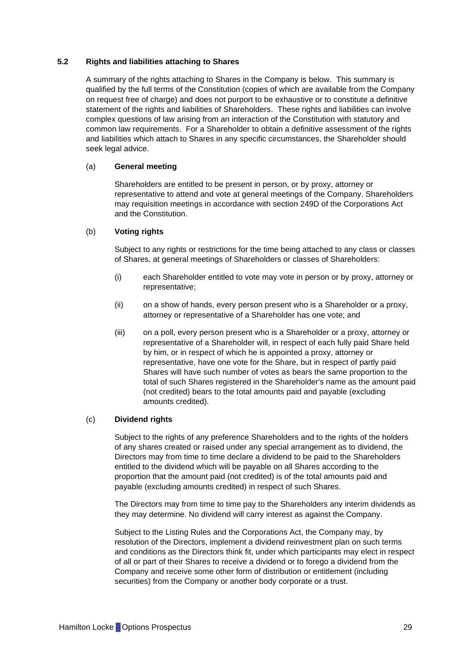# **5.2 Rights and liabilities attaching to Shares**

A summary of the rights attaching to Shares in the Company is below. This summary is qualified by the full terms of the Constitution (copies of which are available from the Company on request free of charge) and does not purport to be exhaustive or to constitute a definitive statement of the rights and liabilities of Shareholders. These rights and liabilities can involve complex questions of law arising from an interaction of the Constitution with statutory and common law requirements. For a Shareholder to obtain a definitive assessment of the rights and liabilities which attach to Shares in any specific circumstances, the Shareholder should seek legal advice.

#### (a) **General meeting**

Shareholders are entitled to be present in person, or by proxy, attorney or representative to attend and vote at general meetings of the Company. Shareholders may requisition meetings in accordance with section 249D of the Corporations Act and the Constitution.

#### (b) **Voting rights**

Subject to any rights or restrictions for the time being attached to any class or classes of Shares, at general meetings of Shareholders or classes of Shareholders:

- (i) each Shareholder entitled to vote may vote in person or by proxy, attorney or representative;
- (ii) on a show of hands, every person present who is a Shareholder or a proxy, attorney or representative of a Shareholder has one vote; and
- (iii) on a poll, every person present who is a Shareholder or a proxy, attorney or representative of a Shareholder will, in respect of each fully paid Share held by him, or in respect of which he is appointed a proxy, attorney or representative, have one vote for the Share, but in respect of partly paid Shares will have such number of votes as bears the same proportion to the total of such Shares registered in the Shareholder's name as the amount paid (not credited) bears to the total amounts paid and payable (excluding amounts credited).

#### (c) **Dividend rights**

Subject to the rights of any preference Shareholders and to the rights of the holders of any shares created or raised under any special arrangement as to dividend, the Directors may from time to time declare a dividend to be paid to the Shareholders entitled to the dividend which will be payable on all Shares according to the proportion that the amount paid (not credited) is of the total amounts paid and payable (excluding amounts credited) in respect of such Shares.

The Directors may from time to time pay to the Shareholders any interim dividends as they may determine. No dividend will carry interest as against the Company.

Subject to the Listing Rules and the Corporations Act, the Company may, by resolution of the Directors, implement a dividend reinvestment plan on such terms and conditions as the Directors think fit, under which participants may elect in respect of all or part of their Shares to receive a dividend or to forego a dividend from the Company and receive some other form of distribution or entitlement (including securities) from the Company or another body corporate or a trust.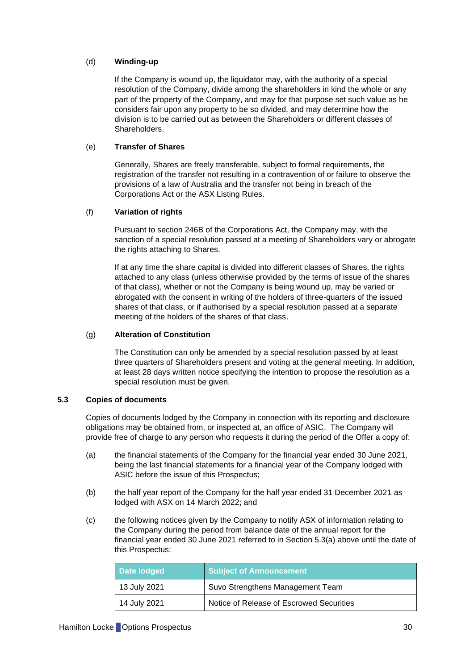# (d) **Winding-up**

If the Company is wound up, the liquidator may, with the authority of a special resolution of the Company, divide among the shareholders in kind the whole or any part of the property of the Company, and may for that purpose set such value as he considers fair upon any property to be so divided, and may determine how the division is to be carried out as between the Shareholders or different classes of Shareholders.

# (e) **Transfer of Shares**

Generally, Shares are freely transferable, subject to formal requirements, the registration of the transfer not resulting in a contravention of or failure to observe the provisions of a law of Australia and the transfer not being in breach of the Corporations Act or the ASX Listing Rules.

# (f) **Variation of rights**

Pursuant to section 246B of the Corporations Act, the Company may, with the sanction of a special resolution passed at a meeting of Shareholders vary or abrogate the rights attaching to Shares.

If at any time the share capital is divided into different classes of Shares, the rights attached to any class (unless otherwise provided by the terms of issue of the shares of that class), whether or not the Company is being wound up, may be varied or abrogated with the consent in writing of the holders of three-quarters of the issued shares of that class, or if authorised by a special resolution passed at a separate meeting of the holders of the shares of that class.

# (g) **Alteration of Constitution**

The Constitution can only be amended by a special resolution passed by at least three quarters of Shareholders present and voting at the general meeting. In addition, at least 28 days written notice specifying the intention to propose the resolution as a special resolution must be given.

# <span id="page-30-0"></span>**5.3 Copies of documents**

Copies of documents lodged by the Company in connection with its reporting and disclosure obligations may be obtained from, or inspected at, an office of ASIC. The Company will provide free of charge to any person who requests it during the period of the Offer a copy of:

- <span id="page-30-1"></span>(a) the financial statements of the Company for the financial year ended 30 June 2021, being the last financial statements for a financial year of the Company lodged with ASIC before the issue of this Prospectus;
- (b) the half year report of the Company for the half year ended 31 December 2021 as lodged with ASX on 14 March 2022; and
- (c) the following notices given by the Company to notify ASX of information relating to the Company during the period from balance date of the annual report for the financial year ended 30 June 2021 referred to in Section [5.3\(a\)](#page-30-1) above until the date of this Prospectus:

| Date lodged          | <b>Subject of Announcement</b>           |
|----------------------|------------------------------------------|
| 13 July 2021         | Suvo Strengthens Management Team         |
| $\vert$ 14 July 2021 | Notice of Release of Escrowed Securities |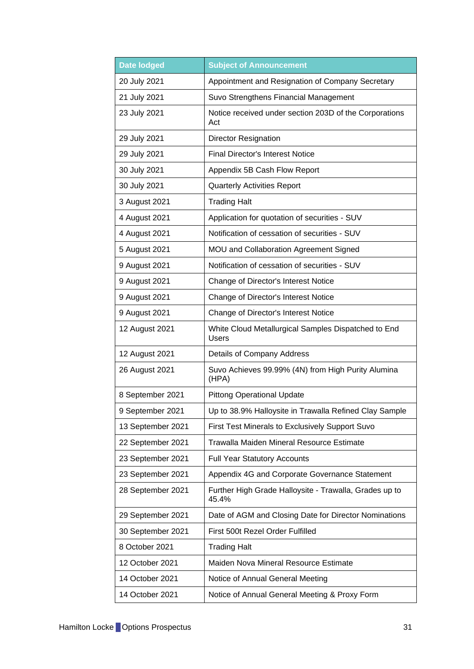| <b>Date lodged</b> | <b>Subject of Announcement</b>                                      |  |
|--------------------|---------------------------------------------------------------------|--|
| 20 July 2021       | Appointment and Resignation of Company Secretary                    |  |
| 21 July 2021       | Suvo Strengthens Financial Management                               |  |
| 23 July 2021       | Notice received under section 203D of the Corporations<br>Act       |  |
| 29 July 2021       | <b>Director Resignation</b>                                         |  |
| 29 July 2021       | <b>Final Director's Interest Notice</b>                             |  |
| 30 July 2021       | Appendix 5B Cash Flow Report                                        |  |
| 30 July 2021       | <b>Quarterly Activities Report</b>                                  |  |
| 3 August 2021      | <b>Trading Halt</b>                                                 |  |
| 4 August 2021      | Application for quotation of securities - SUV                       |  |
| 4 August 2021      | Notification of cessation of securities - SUV                       |  |
| 5 August 2021      | MOU and Collaboration Agreement Signed                              |  |
| 9 August 2021      | Notification of cessation of securities - SUV                       |  |
| 9 August 2021      | Change of Director's Interest Notice                                |  |
| 9 August 2021      | Change of Director's Interest Notice                                |  |
| 9 August 2021      | Change of Director's Interest Notice                                |  |
| 12 August 2021     | White Cloud Metallurgical Samples Dispatched to End<br><b>Users</b> |  |
| 12 August 2021     | Details of Company Address                                          |  |
| 26 August 2021     | Suvo Achieves 99.99% (4N) from High Purity Alumina<br>(HPA)         |  |
| 8 September 2021   | <b>Pittong Operational Update</b>                                   |  |
| 9 September 2021   | Up to 38.9% Halloysite in Trawalla Refined Clay Sample              |  |
| 13 September 2021  | First Test Minerals to Exclusively Support Suvo                     |  |
| 22 September 2021  | Trawalla Maiden Mineral Resource Estimate                           |  |
| 23 September 2021  | <b>Full Year Statutory Accounts</b>                                 |  |
| 23 September 2021  | Appendix 4G and Corporate Governance Statement                      |  |
| 28 September 2021  | Further High Grade Halloysite - Trawalla, Grades up to<br>45.4%     |  |
| 29 September 2021  | Date of AGM and Closing Date for Director Nominations               |  |
| 30 September 2021  | First 500t Rezel Order Fulfilled                                    |  |
| 8 October 2021     | <b>Trading Halt</b>                                                 |  |
| 12 October 2021    | Maiden Nova Mineral Resource Estimate                               |  |
| 14 October 2021    | Notice of Annual General Meeting                                    |  |
| 14 October 2021    | Notice of Annual General Meeting & Proxy Form                       |  |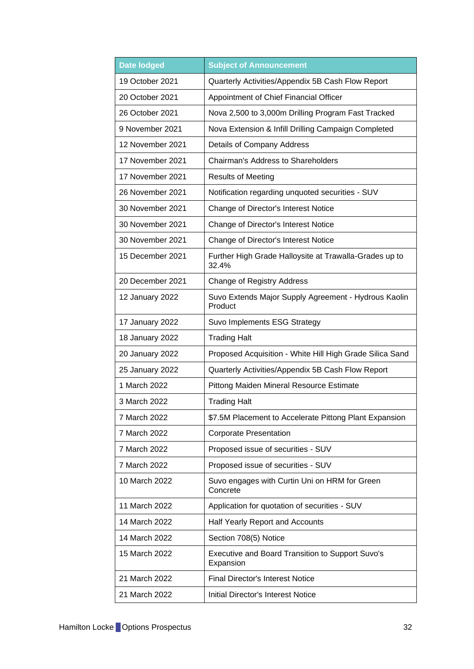| <b>Date lodged</b> | <b>Subject of Announcement</b>                                       |  |
|--------------------|----------------------------------------------------------------------|--|
| 19 October 2021    | Quarterly Activities/Appendix 5B Cash Flow Report                    |  |
| 20 October 2021    | Appointment of Chief Financial Officer                               |  |
| 26 October 2021    | Nova 2,500 to 3,000m Drilling Program Fast Tracked                   |  |
| 9 November 2021    | Nova Extension & Infill Drilling Campaign Completed                  |  |
| 12 November 2021   | Details of Company Address                                           |  |
| 17 November 2021   | Chairman's Address to Shareholders                                   |  |
| 17 November 2021   | <b>Results of Meeting</b>                                            |  |
| 26 November 2021   | Notification regarding unquoted securities - SUV                     |  |
| 30 November 2021   | Change of Director's Interest Notice                                 |  |
| 30 November 2021   | Change of Director's Interest Notice                                 |  |
| 30 November 2021   | Change of Director's Interest Notice                                 |  |
| 15 December 2021   | Further High Grade Halloysite at Trawalla-Grades up to<br>32.4%      |  |
| 20 December 2021   | <b>Change of Registry Address</b>                                    |  |
| 12 January 2022    | Suvo Extends Major Supply Agreement - Hydrous Kaolin<br>Product      |  |
| 17 January 2022    | Suvo Implements ESG Strategy                                         |  |
| 18 January 2022    | <b>Trading Halt</b>                                                  |  |
| 20 January 2022    | Proposed Acquisition - White Hill High Grade Silica Sand             |  |
| 25 January 2022    | Quarterly Activities/Appendix 5B Cash Flow Report                    |  |
| 1 March 2022       | Pittong Maiden Mineral Resource Estimate                             |  |
| 3 March 2022       | <b>Trading Halt</b>                                                  |  |
| 7 March 2022       | \$7.5M Placement to Accelerate Pittong Plant Expansion               |  |
| 7 March 2022       | <b>Corporate Presentation</b>                                        |  |
| 7 March 2022       | Proposed issue of securities - SUV                                   |  |
| 7 March 2022       | Proposed issue of securities - SUV                                   |  |
| 10 March 2022      | Suvo engages with Curtin Uni on HRM for Green<br>Concrete            |  |
| 11 March 2022      | Application for quotation of securities - SUV                        |  |
| 14 March 2022      | Half Yearly Report and Accounts                                      |  |
| 14 March 2022      | Section 708(5) Notice                                                |  |
| 15 March 2022      | <b>Executive and Board Transition to Support Suvo's</b><br>Expansion |  |
| 21 March 2022      | <b>Final Director's Interest Notice</b>                              |  |
| 21 March 2022      | <b>Initial Director's Interest Notice</b>                            |  |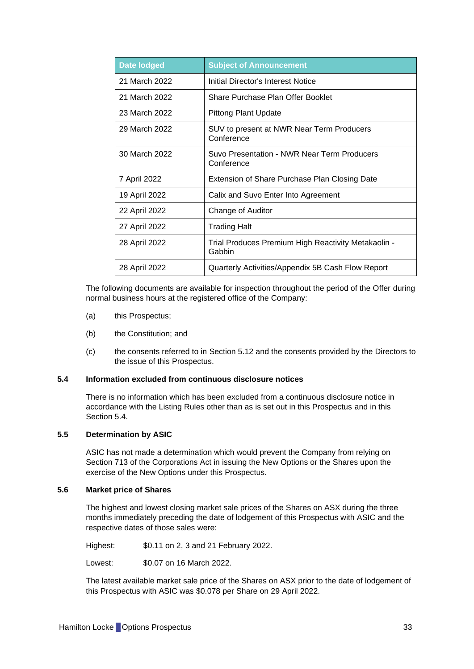| <b>Date lodged</b> | <b>Subject of Announcement</b>                                |
|--------------------|---------------------------------------------------------------|
| 21 March 2022      | Initial Director's Interest Notice                            |
| 21 March 2022      | Share Purchase Plan Offer Booklet                             |
| 23 March 2022      | Pittong Plant Update                                          |
| 29 March 2022      | SUV to present at NWR Near Term Producers<br>Conference       |
| 30 March 2022      | Suvo Presentation - NWR Near Term Producers<br>Conference     |
| 7 April 2022       | Extension of Share Purchase Plan Closing Date                 |
| 19 April 2022      | Calix and Suvo Enter Into Agreement                           |
| 22 April 2022      | Change of Auditor                                             |
| 27 April 2022      | <b>Trading Halt</b>                                           |
| 28 April 2022      | Trial Produces Premium High Reactivity Metakaolin -<br>Gabbin |
| 28 April 2022      | Quarterly Activities/Appendix 5B Cash Flow Report             |

The following documents are available for inspection throughout the period of the Offer during normal business hours at the registered office of the Company:

- (a) this Prospectus;
- (b) the Constitution; and
- (c) the consents referred to in Section [5.12](#page-37-0) and the consents provided by the Directors to the issue of this Prospectus.

# <span id="page-33-0"></span>**5.4 Information excluded from continuous disclosure notices**

There is no information which has been excluded from a continuous disclosure notice in accordance with the Listing Rules other than as is set out in this Prospectus and in this Section [5.4.](#page-33-0)

# **5.5 Determination by ASIC**

ASIC has not made a determination which would prevent the Company from relying on Section 713 of the Corporations Act in issuing the New Options or the Shares upon the exercise of the New Options under this Prospectus.

#### **5.6 Market price of Shares**

The highest and lowest closing market sale prices of the Shares on ASX during the three months immediately preceding the date of lodgement of this Prospectus with ASIC and the respective dates of those sales were:

Highest: \$0.11 on 2, 3 and 21 February 2022.

Lowest: \$0.07 on 16 March 2022.

The latest available market sale price of the Shares on ASX prior to the date of lodgement of this Prospectus with ASIC was \$0.078 per Share on 29 April 2022.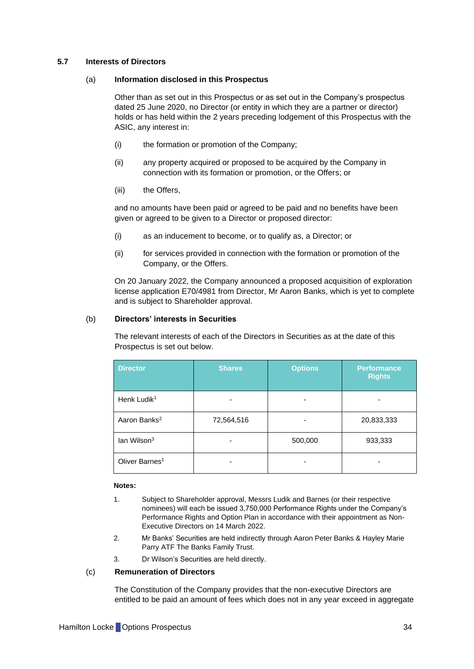## **5.7 Interests of Directors**

#### (a) **Information disclosed in this Prospectus**

Other than as set out in this Prospectus or as set out in the Company's prospectus dated 25 June 2020, no Director (or entity in which they are a partner or director) holds or has held within the 2 years preceding lodgement of this Prospectus with the ASIC, any interest in:

- (i) the formation or promotion of the Company;
- (ii) any property acquired or proposed to be acquired by the Company in connection with its formation or promotion, or the Offers; or
- (iii) the Offers.

and no amounts have been paid or agreed to be paid and no benefits have been given or agreed to be given to a Director or proposed director:

- (i) as an inducement to become, or to qualify as, a Director; or
- (ii) for services provided in connection with the formation or promotion of the Company, or the Offers.

On 20 January 2022, the Company announced a proposed acquisition of exploration license application E70/4981 from Director, Mr Aaron Banks, which is yet to complete and is subject to Shareholder approval.

#### (b) **Directors' interests in Securities**

The relevant interests of each of the Directors in Securities as at the date of this Prospectus is set out below.

| <b>Director</b>            | <b>Shares</b> | <b>Options</b> | <b>Performance</b><br><b>Rights</b> |
|----------------------------|---------------|----------------|-------------------------------------|
| Henk Ludik <sup>1</sup>    |               |                |                                     |
| Aaron Banks <sup>2</sup>   | 72,564,516    |                | 20,833,333                          |
| lan Wilson <sup>3</sup>    |               | 500,000        | 933,333                             |
| Oliver Barnes <sup>1</sup> |               |                |                                     |

#### **Notes:**

- 1. Subject to Shareholder approval, Messrs Ludik and Barnes (or their respective nominees) will each be issued 3,750,000 Performance Rights under the Company's Performance Rights and Option Plan in accordance with their appointment as Non-Executive Directors on 14 March 2022.
- 2. Mr Banks' Securities are held indirectly through Aaron Peter Banks & Hayley Marie Parry ATF The Banks Family Trust.
- 3. Dr Wilson's Securities are held directly.

# (c) **Remuneration of Directors**

The Constitution of the Company provides that the non-executive Directors are entitled to be paid an amount of fees which does not in any year exceed in aggregate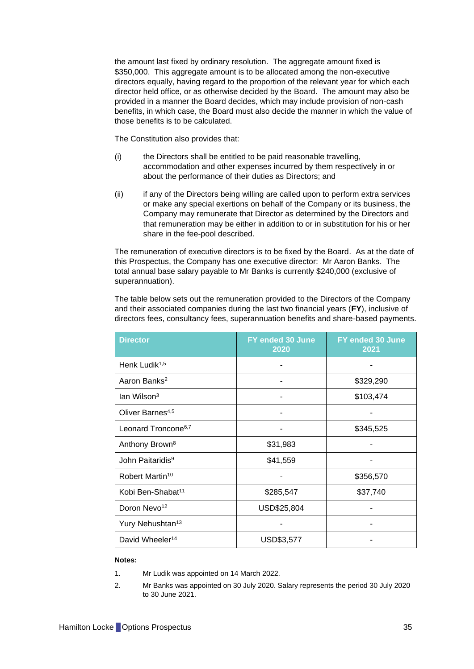the amount last fixed by ordinary resolution. The aggregate amount fixed is \$350,000. This aggregate amount is to be allocated among the non-executive directors equally, having regard to the proportion of the relevant year for which each director held office, or as otherwise decided by the Board. The amount may also be provided in a manner the Board decides, which may include provision of non-cash benefits, in which case, the Board must also decide the manner in which the value of those benefits is to be calculated.

The Constitution also provides that:

- (i) the Directors shall be entitled to be paid reasonable travelling, accommodation and other expenses incurred by them respectively in or about the performance of their duties as Directors; and
- (ii) if any of the Directors being willing are called upon to perform extra services or make any special exertions on behalf of the Company or its business, the Company may remunerate that Director as determined by the Directors and that remuneration may be either in addition to or in substitution for his or her share in the fee-pool described.

The remuneration of executive directors is to be fixed by the Board. As at the date of this Prospectus, the Company has one executive director: Mr Aaron Banks. The total annual base salary payable to Mr Banks is currently \$240,000 (exclusive of superannuation).

The table below sets out the remuneration provided to the Directors of the Company and their associated companies during the last two financial years (**FY**), inclusive of directors fees, consultancy fees, superannuation benefits and share-based payments.

| <b>Director</b>                 | FY ended 30 June<br>2020 | FY ended 30 June<br>2021 |
|---------------------------------|--------------------------|--------------------------|
| Henk Ludik <sup>1,5</sup>       |                          |                          |
| Aaron Banks <sup>2</sup>        |                          | \$329,290                |
| $\text{lan Wilson}^3$           |                          | \$103,474                |
| Oliver Barnes <sup>4,5</sup>    |                          |                          |
| Leonard Troncone <sup>6,7</sup> |                          | \$345,525                |
| Anthony Brown <sup>8</sup>      | \$31,983                 |                          |
| John Paitaridis <sup>9</sup>    | \$41,559                 |                          |
| Robert Martin <sup>10</sup>     |                          | \$356,570                |
| Kobi Ben-Shabat <sup>11</sup>   | \$285,547                | \$37,740                 |
| Doron Nevo <sup>12</sup>        | USD\$25,804              |                          |
| Yury Nehushtan <sup>13</sup>    |                          |                          |
| David Wheeler <sup>14</sup>     | USD\$3,577               |                          |

#### **Notes:**

- 1. Mr Ludik was appointed on 14 March 2022.
- 2. Mr Banks was appointed on 30 July 2020. Salary represents the period 30 July 2020 to 30 June 2021.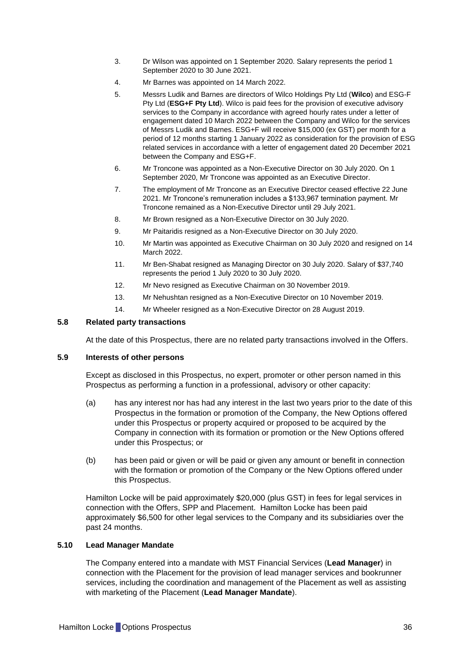- 3. Dr Wilson was appointed on 1 September 2020. Salary represents the period 1 September 2020 to 30 June 2021.
- 4. Mr Barnes was appointed on 14 March 2022.
- 5. Messrs Ludik and Barnes are directors of Wilco Holdings Pty Ltd (**Wilco**) and ESG-F Pty Ltd (**ESG+F Pty Ltd**). Wilco is paid fees for the provision of executive advisory services to the Company in accordance with agreed hourly rates under a letter of engagement dated 10 March 2022 between the Company and Wilco for the services of Messrs Ludik and Barnes. ESG+F will receive \$15,000 (ex GST) per month for a period of 12 months starting 1 January 2022 as consideration for the provision of ESG related services in accordance with a letter of engagement dated 20 December 2021 between the Company and ESG+F.
- 6. Mr Troncone was appointed as a Non-Executive Director on 30 July 2020. On 1 September 2020, Mr Troncone was appointed as an Executive Director.
- 7. The employment of Mr Troncone as an Executive Director ceased effective 22 June 2021. Mr Troncone's remuneration includes a \$133,967 termination payment. Mr Troncone remained as a Non-Executive Director until 29 July 2021.
- 8. Mr Brown resigned as a Non-Executive Director on 30 July 2020.
- 9. Mr Paitaridis resigned as a Non-Executive Director on 30 July 2020.
- 10. Mr Martin was appointed as Executive Chairman on 30 July 2020 and resigned on 14 March 2022.
- 11. Mr Ben-Shabat resigned as Managing Director on 30 July 2020. Salary of \$37,740 represents the period 1 July 2020 to 30 July 2020.
- 12. Mr Nevo resigned as Executive Chairman on 30 November 2019.
- 13. Mr Nehushtan resigned as a Non-Executive Director on 10 November 2019.
- 14. Mr Wheeler resigned as a Non-Executive Director on 28 August 2019.

#### **5.8 Related party transactions**

At the date of this Prospectus, there are no related party transactions involved in the Offers.

#### **5.9 Interests of other persons**

Except as disclosed in this Prospectus, no expert, promoter or other person named in this Prospectus as performing a function in a professional, advisory or other capacity:

- (a) has any interest nor has had any interest in the last two years prior to the date of this Prospectus in the formation or promotion of the Company, the New Options offered under this Prospectus or property acquired or proposed to be acquired by the Company in connection with its formation or promotion or the New Options offered under this Prospectus; or
- (b) has been paid or given or will be paid or given any amount or benefit in connection with the formation or promotion of the Company or the New Options offered under this Prospectus.

Hamilton Locke will be paid approximately \$20,000 (plus GST) in fees for legal services in connection with the Offers, SPP and Placement. Hamilton Locke has been paid approximately \$6,500 for other legal services to the Company and its subsidiaries over the past 24 months.

# <span id="page-36-0"></span>**5.10 Lead Manager Mandate**

The Company entered into a mandate with MST Financial Services (**Lead Manager**) in connection with the Placement for the provision of lead manager services and bookrunner services, including the coordination and management of the Placement as well as assisting with marketing of the Placement (**Lead Manager Mandate**).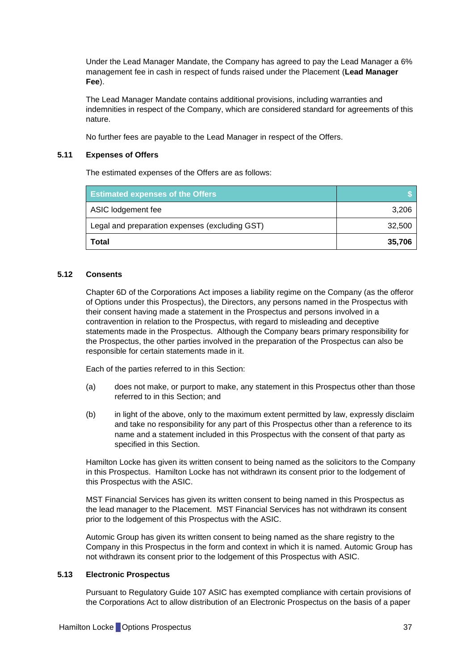Under the Lead Manager Mandate, the Company has agreed to pay the Lead Manager a 6% management fee in cash in respect of funds raised under the Placement (**Lead Manager Fee**).

The Lead Manager Mandate contains additional provisions, including warranties and indemnities in respect of the Company, which are considered standard for agreements of this nature.

No further fees are payable to the Lead Manager in respect of the Offers.

# **5.11 Expenses of Offers**

The estimated expenses of the Offers are as follows:

| <b>Estimated expenses of the Offers</b>        |        |
|------------------------------------------------|--------|
| ASIC lodgement fee                             | 3,206  |
| Legal and preparation expenses (excluding GST) | 32,500 |
| Total                                          | 35,706 |

# <span id="page-37-0"></span>**5.12 Consents**

Chapter 6D of the Corporations Act imposes a liability regime on the Company (as the offeror of Options under this Prospectus), the Directors, any persons named in the Prospectus with their consent having made a statement in the Prospectus and persons involved in a contravention in relation to the Prospectus, with regard to misleading and deceptive statements made in the Prospectus. Although the Company bears primary responsibility for the Prospectus, the other parties involved in the preparation of the Prospectus can also be responsible for certain statements made in it.

Each of the parties referred to in this Section:

- (a) does not make, or purport to make, any statement in this Prospectus other than those referred to in this Section; and
- (b) in light of the above, only to the maximum extent permitted by law, expressly disclaim and take no responsibility for any part of this Prospectus other than a reference to its name and a statement included in this Prospectus with the consent of that party as specified in this Section.

Hamilton Locke has given its written consent to being named as the solicitors to the Company in this Prospectus. Hamilton Locke has not withdrawn its consent prior to the lodgement of this Prospectus with the ASIC.

MST Financial Services has given its written consent to being named in this Prospectus as the lead manager to the Placement. MST Financial Services has not withdrawn its consent prior to the lodgement of this Prospectus with the ASIC.

Automic Group has given its written consent to being named as the share registry to the Company in this Prospectus in the form and context in which it is named. Automic Group has not withdrawn its consent prior to the lodgement of this Prospectus with ASIC.

# **5.13 Electronic Prospectus**

Pursuant to Regulatory Guide 107 ASIC has exempted compliance with certain provisions of the Corporations Act to allow distribution of an Electronic Prospectus on the basis of a paper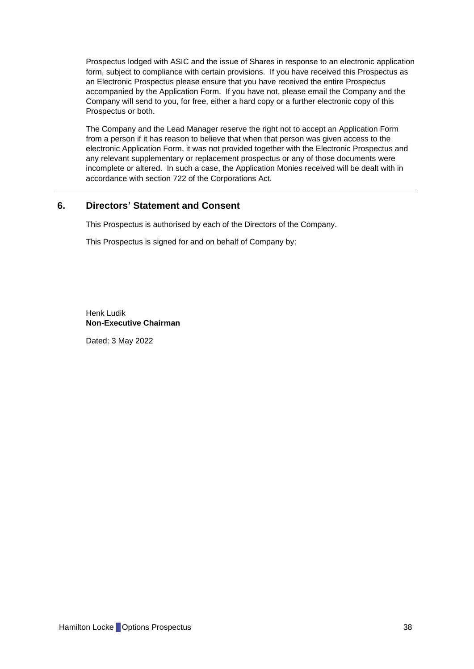Prospectus lodged with ASIC and the issue of Shares in response to an electronic application form, subject to compliance with certain provisions. If you have received this Prospectus as an Electronic Prospectus please ensure that you have received the entire Prospectus accompanied by the Application Form. If you have not, please email the Company and the Company will send to you, for free, either a hard copy or a further electronic copy of this Prospectus or both.

The Company and the Lead Manager reserve the right not to accept an Application Form from a person if it has reason to believe that when that person was given access to the electronic Application Form, it was not provided together with the Electronic Prospectus and any relevant supplementary or replacement prospectus or any of those documents were incomplete or altered. In such a case, the Application Monies received will be dealt with in accordance with section 722 of the Corporations Act.

# <span id="page-38-0"></span>**6. Directors' Statement and Consent**

This Prospectus is authorised by each of the Directors of the Company.

This Prospectus is signed for and on behalf of Company by:

Henk Ludik **Non-Executive Chairman**

Dated: 3 May 2022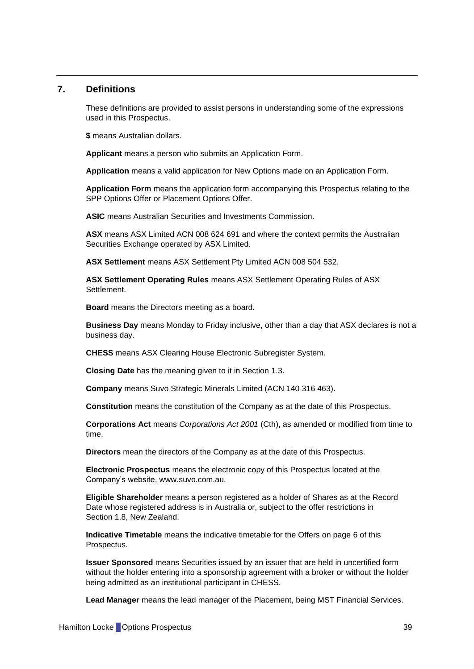# <span id="page-39-0"></span>**7. Definitions**

These definitions are provided to assist persons in understanding some of the expressions used in this Prospectus.

**\$** means Australian dollars.

**Applicant** means a person who submits an Application Form.

**Application** means a valid application for New Options made on an Application Form.

**Application Form** means the application form accompanying this Prospectus relating to the SPP Options Offer or Placement Options Offer.

**ASIC** means Australian Securities and Investments Commission.

**ASX** means ASX Limited ACN 008 624 691 and where the context permits the Australian Securities Exchange operated by ASX Limited.

**ASX Settlement** means ASX Settlement Pty Limited ACN 008 504 532.

**ASX Settlement Operating Rules** means ASX Settlement Operating Rules of ASX Settlement.

**Board** means the Directors meeting as a board.

**Business Day** means Monday to Friday inclusive, other than a day that ASX declares is not a business day.

**CHESS** means ASX Clearing House Electronic Subregister System.

**Closing Date** has the meaning given to it in Section [1.3.](#page-14-1)

**Company** means Suvo Strategic Minerals Limited (ACN 140 316 463).

**Constitution** means the constitution of the Company as at the date of this Prospectus.

**Corporations Act** means *Corporations Act 2001* (Cth), as amended or modified from time to time.

**Directors** mean the directors of the Company as at the date of this Prospectus.

**Electronic Prospectus** means the electronic copy of this Prospectus located at the Company's website, www.suvo.com.au.

**Eligible Shareholder** means a person registered as a holder of Shares as at the Record Date whose registered address is in Australia or, subject to the offer restrictions in Section [1.8,](#page-14-0) New Zealand.

**Indicative Timetable** means the indicative timetable for the Offers on page 6 of this Prospectus.

**Issuer Sponsored** means Securities issued by an issuer that are held in uncertified form without the holder entering into a sponsorship agreement with a broker or without the holder being admitted as an institutional participant in CHESS.

**Lead Manager** means the lead manager of the Placement, being MST Financial Services.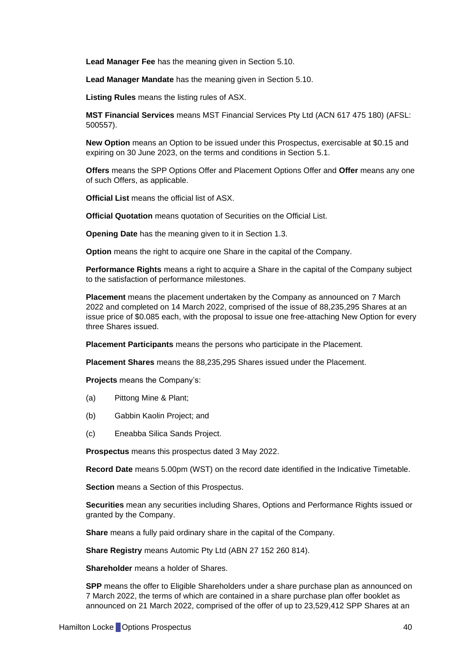**Lead Manager Fee** has the meaning given in Section [5.10.](#page-36-0)

**Lead Manager Mandate** has the meaning given in Section [5.10.](#page-36-0)

**Listing Rules** means the listing rules of ASX.

**MST Financial Services** means MST Financial Services Pty Ltd (ACN 617 475 180) (AFSL: 500557).

**New Option** means an Option to be issued under this Prospectus, exercisable at \$0.15 and expiring on 30 June 2023, on the terms and conditions in Section [5.1.](#page-28-1)

**Offers** means the SPP Options Offer and Placement Options Offer and **Offer** means any one of such Offers, as applicable.

**Official List** means the official list of ASX.

**Official Quotation** means quotation of Securities on the Official List.

**Opening Date** has the meaning given to it in Section [1.3.](#page-14-1)

**Option** means the right to acquire one Share in the capital of the Company.

**Performance Rights** means a right to acquire a Share in the capital of the Company subject to the satisfaction of performance milestones.

**Placement** means the placement undertaken by the Company as announced on 7 March 2022 and completed on 14 March 2022, comprised of the issue of 88,235,295 Shares at an issue price of \$0.085 each, with the proposal to issue one free-attaching New Option for every three Shares issued.

**Placement Participants** means the persons who participate in the Placement.

**Placement Shares** means the 88,235,295 Shares issued under the Placement.

**Projects** means the Company's:

- (a) Pittong Mine & Plant;
- (b) Gabbin Kaolin Project; and
- (c) Eneabba Silica Sands Project.

**Prospectus** means this prospectus dated 3 May 2022.

**Record Date** means 5.00pm (WST) on the record date identified in the Indicative Timetable.

**Section** means a Section of this Prospectus.

**Securities** mean any securities including Shares, Options and Performance Rights issued or granted by the Company.

**Share** means a fully paid ordinary share in the capital of the Company.

**Share Registry** means Automic Pty Ltd (ABN 27 152 260 814).

**Shareholder** means a holder of Shares.

**SPP** means the offer to Eligible Shareholders under a share purchase plan as announced on 7 March 2022, the terms of which are contained in a share purchase plan offer booklet as announced on 21 March 2022, comprised of the offer of up to 23,529,412 SPP Shares at an